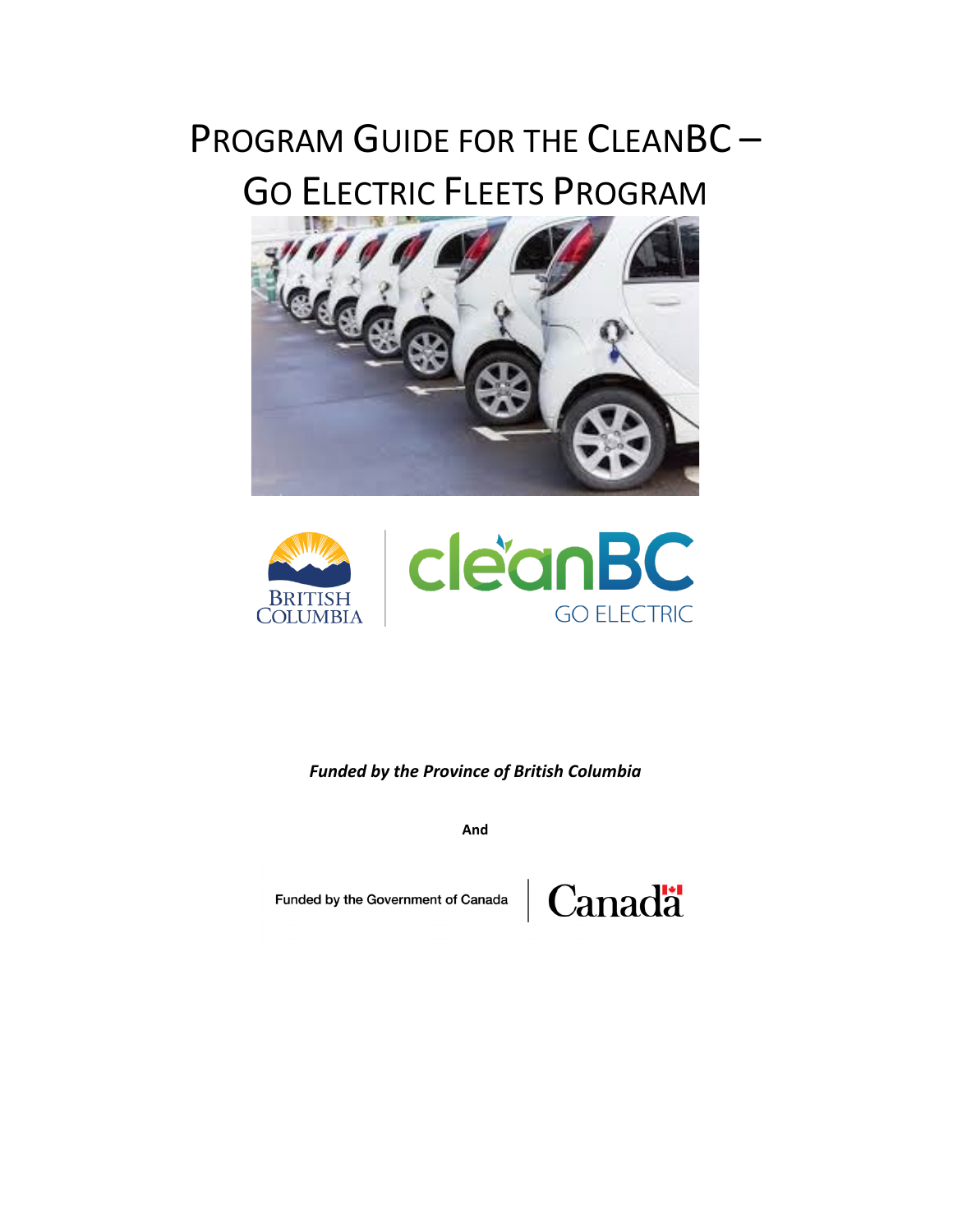# PROGRAM GUIDE FOR THE CLEANBC-GO ELECTRIC FLEETS PROGRAM





*Funded by the Province of British Columbia*

**And** 

Funded by the Government of Canada

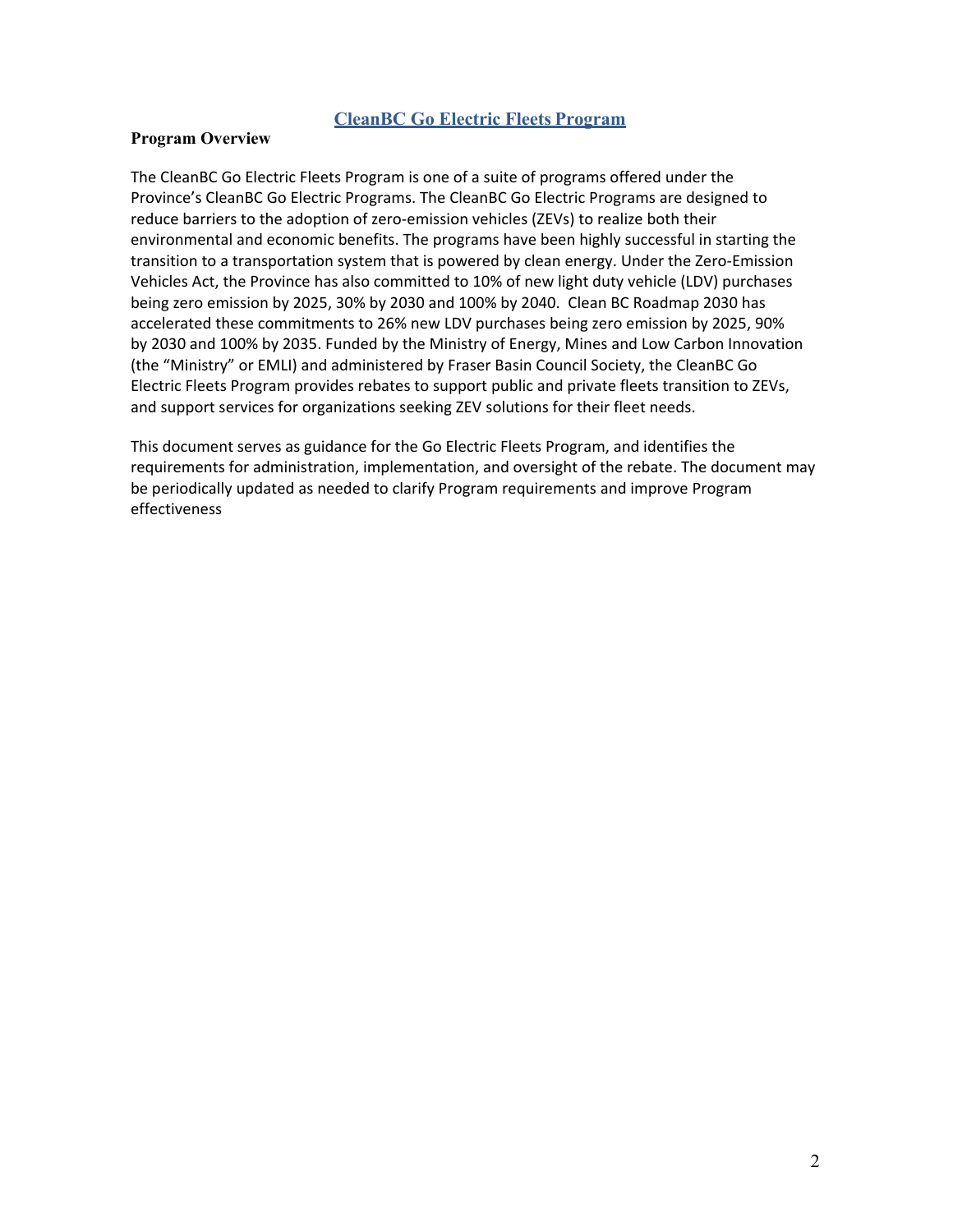#### **CleanBC Go Electric Fleets Program**

#### **Program Overview**

The CleanBC Go Electric Fleets Program is one of a suite of programs offered under the Province's CleanBC Go Electric Programs. The CleanBC Go Electric Programs are designed to reduce barriers to the adoption of zero-emission vehicles (ZEVs) to realize both their environmental and economic benefits. The programs have been highly successful in starting the transition to a transportation system that is powered by clean energy. Under the Zero-Emission Vehicles Act, the Province has also committed to 10% of new light duty vehicle (LDV) purchases being zero emission by 2025, 30% by 2030 and 100% by 2040. Clean BC Roadmap 2030 has accelerated these commitments to 26% new LDV purchases being zero emission by 2025, 90% by 2030 and 100% by 2035. Funded by the Ministry of Energy, Mines and Low Carbon Innovation (the "Ministry" or EMLI) and administered by Fraser Basin Council Society, the CleanBC Go Electric Fleets Program provides rebates to support public and private fleets transition to ZEVs, and support services for organizations seeking ZEV solutions for their fleet needs.

This document serves as guidance for the Go Electric Fleets Program, and identifies the requirements for administration, implementation, and oversight of the rebate. The document may be periodically updated as needed to clarify Program requirements and improve Program effectiveness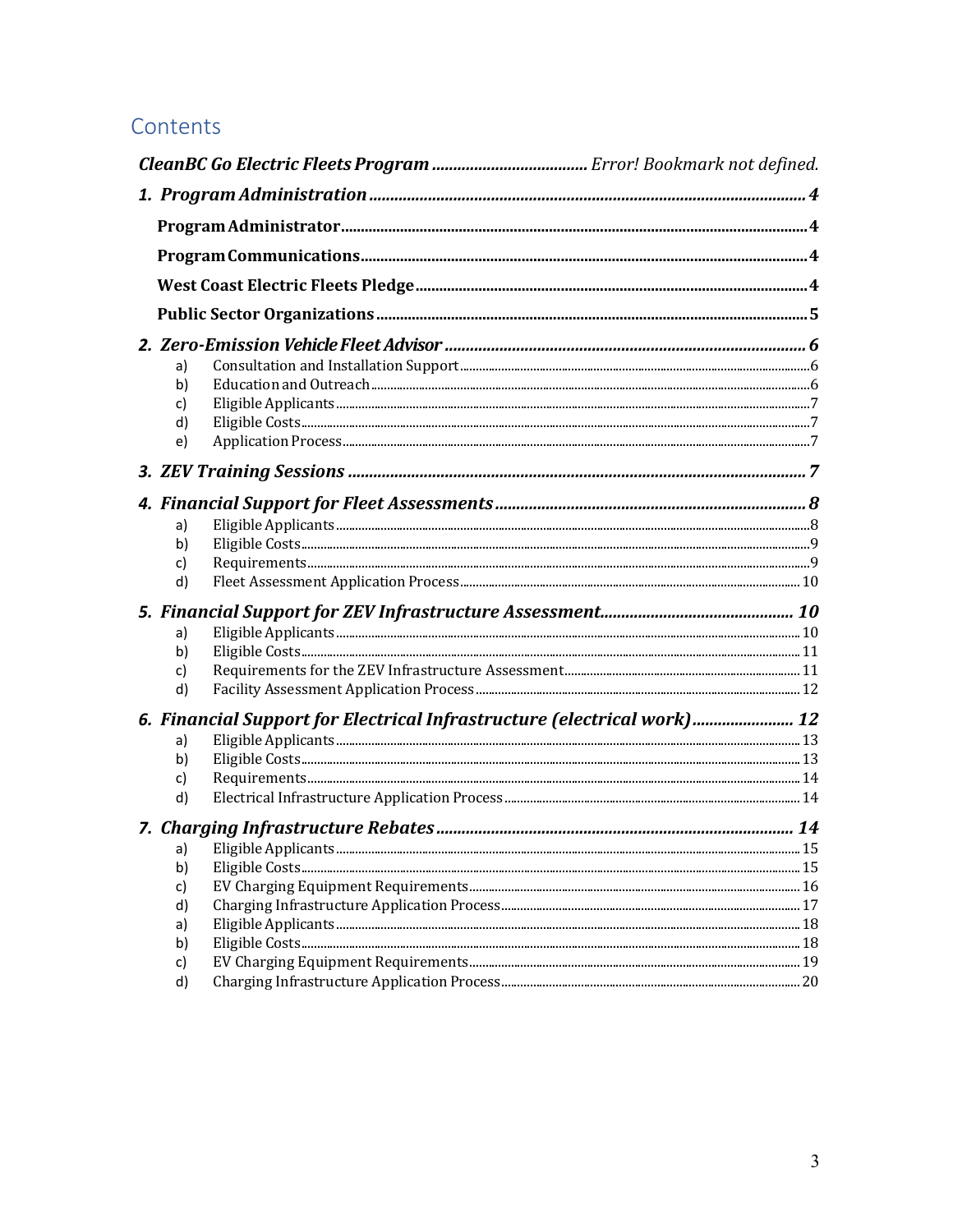## Contents

| a)<br>b)<br>c)<br>d)<br>e)       |                                                                         |    |  |  |
|----------------------------------|-------------------------------------------------------------------------|----|--|--|
|                                  |                                                                         |    |  |  |
|                                  |                                                                         |    |  |  |
| a)<br>b)<br>c)<br>d)             |                                                                         |    |  |  |
|                                  |                                                                         |    |  |  |
| a)<br>b)<br>c)<br>d)             |                                                                         |    |  |  |
|                                  | 6. Financial Support for Electrical Infrastructure (electrical work) 12 |    |  |  |
| a)<br>b)<br>c)<br>d)             |                                                                         |    |  |  |
|                                  |                                                                         |    |  |  |
| b)<br>c)<br>d)<br>a)<br>b)<br>c) |                                                                         | 15 |  |  |
| d)                               |                                                                         |    |  |  |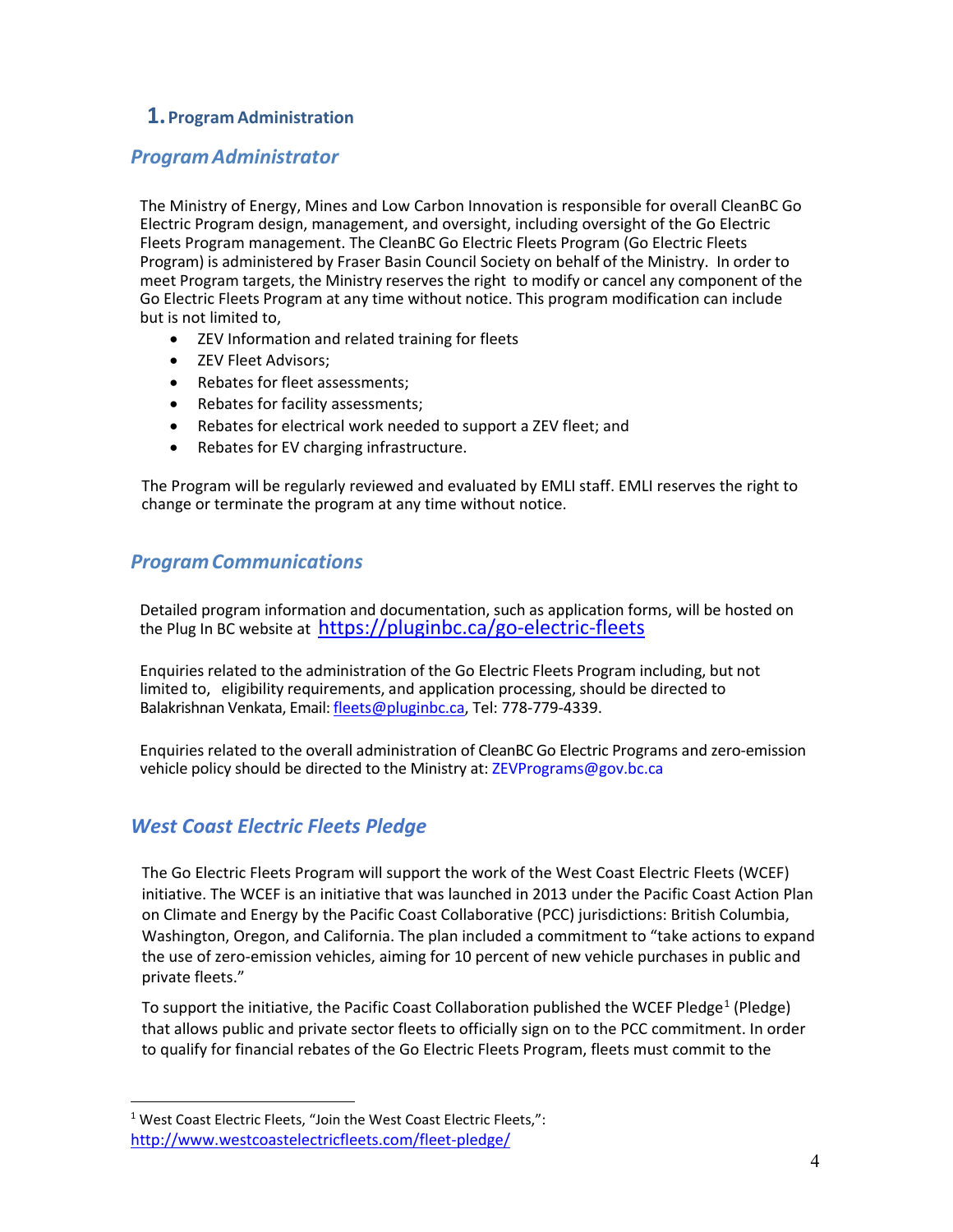## <span id="page-3-0"></span>**1.Program Administration**

## <span id="page-3-1"></span>*Program Administrator*

The Ministry of Energy, Mines and Low Carbon Innovation is responsible for overall CleanBC Go Electric Program design, management, and oversight, including oversight of the Go Electric Fleets Program management. The CleanBC Go Electric Fleets Program (Go Electric Fleets Program) is administered by Fraser Basin Council Society on behalf of the Ministry. In order to meet Program targets, the Ministry reserves the right to modify or cancel any component of the Go Electric Fleets Program at any time without notice. This program modification can include but is not limited to,

- ZEV Information and related training for fleets
- ZEV Fleet Advisors;
- Rebates for fleet assessments;
- Rebates for facility assessments;
- Rebates for electrical work needed to support a ZEV fleet; and
- Rebates for EV charging infrastructure.

The Program will be regularly reviewed and evaluated by EMLI staff. EMLI reserves the right to change or terminate the program at any time without notice.

## <span id="page-3-2"></span>*ProgramCommunications*

Detailed program information and documentation, such as application forms, will be hosted on the Plug In BC website at [https://pluginbc.ca/go-electric-fleets](https://pluginbc.ca/go-electric-fleets/)

Enquiries related to the administration of the Go Electric Fleets Program including, but not limited to, eligibility requirements, and application processing, should be directed to Balakrishnan Venkata, Email[: fleets@pluginbc.ca,](mailto:fleets@pluginbc.ca) Tel: 778-779-4339.

Enquiries related to the overall administration of CleanBC Go Electric Programs and zero-emission vehicle policy should be directed to the Ministry at[: ZEVPrograms@gov.bc.ca](mailto:CEVEnquiries@gov.bc.ca)

## <span id="page-3-3"></span>*West Coast Electric Fleets Pledge*

The Go Electric Fleets Program will support the work of the West Coast Electric Fleets (WCEF) initiative. The WCEF is an initiative that was launched in 2013 under the Pacific Coast Action Plan on Climate and Energy by the Pacific Coast Collaborative (PCC) jurisdictions: British Columbia, Washington, Oregon, and California. The plan included a commitment to "take actions to expand the use of zero-emission vehicles, aiming for 10 percent of new vehicle purchases in public and private fleets."

To support the initiative, the Pacific Coast Collaboration published the WCEF Pledge<sup>[1](#page-3-4)</sup> (Pledge) that allows public and private sector fleets to officially sign on to the PCC commitment. In order to qualify for financial rebates of the Go Electric Fleets Program, fleets must commit to the

<span id="page-3-4"></span><sup>&</sup>lt;sup>1</sup> West Coast Electric Fleets, "Join the West Coast Electric Fleets,": <http://www.westcoastelectricfleets.com/fleet-pledge/>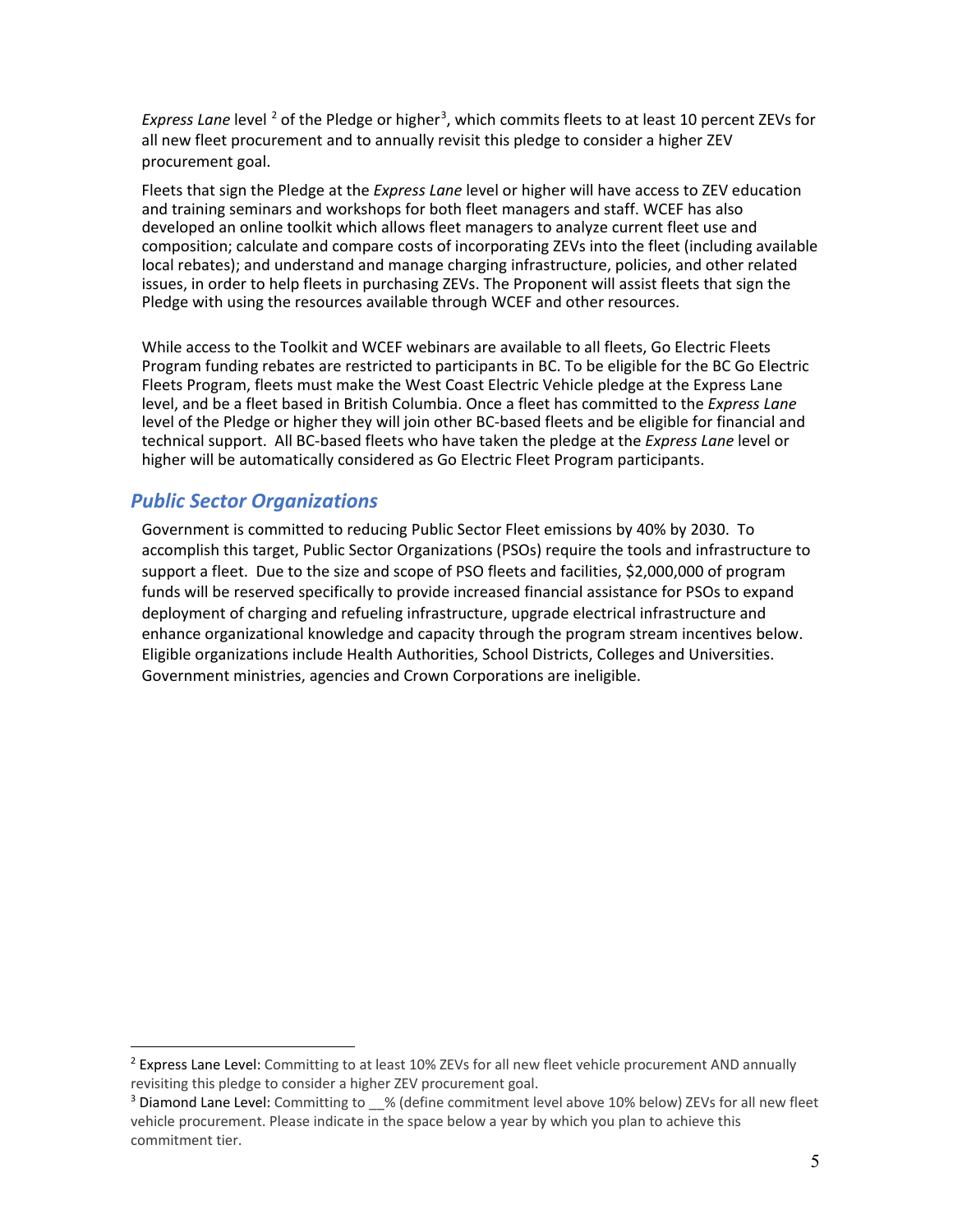Express Lane level<sup>[2](#page-4-1)</sup> of the Pledge or higher<sup>[3](#page-4-2)</sup>, which commits fleets to at least 10 percent ZEVs for all new fleet procurement and to annually revisit this pledge to consider a higher ZEV procurement goal.

Fleets that sign the Pledge at the *Express Lane* level or higher will have access to ZEV education and training seminars and workshops for both fleet managers and staff. WCEF has also developed an online toolkit which allows fleet managers to analyze current fleet use and composition; calculate and compare costs of incorporating ZEVs into the fleet (including available local rebates); and understand and manage charging infrastructure, policies, and other related issues, in order to help fleets in purchasing ZEVs. The Proponent will assist fleets that sign the Pledge with using the resources available through WCEF and other resources.

While access to the Toolkit and WCEF webinars are available to all fleets, Go Electric Fleets Program funding rebates are restricted to participants in BC. To be eligible for the BC Go Electric Fleets Program, fleets must make the West Coast Electric Vehicle [pledge](http://www.westcoastelectricfleets.com/fleet-pledge/) at the Express Lane level, and be a fleet based in British Columbia. Once a fleet has committed to the *Express Lane*  level of the Pledge or higher they will join [other BC-based fleets](http://www.westcoastelectricfleets.com/partner-fleets/) and be eligible for financial and technical support. All BC-based fleets who have taken the pledge at the *Express Lane* level or higher will be automatically considered as Go Electric Fleet Program participants.

## <span id="page-4-0"></span>*Public Sector Organizations*

Government is committed to reducing Public Sector Fleet emissions by 40% by 2030. To accomplish this target, Public Sector Organizations (PSOs) require the tools and infrastructure to support a fleet. Due to the size and scope of PSO fleets and facilities, \$2,000,000 of program funds will be reserved specifically to provide increased financial assistance for PSOs to expand deployment of charging and refueling infrastructure, upgrade electrical infrastructure and enhance organizational knowledge and capacity through the program stream incentives below. Eligible organizations include Health Authorities, School Districts, Colleges and Universities. Government ministries, agencies and Crown Corporations are ineligible.

<span id="page-4-1"></span><sup>&</sup>lt;sup>2</sup> Express Lane Level: Committing to at least 10% ZEVs for all new fleet vehicle procurement AND annually revisiting this pledge to consider a higher ZEV procurement goal.

<span id="page-4-2"></span><sup>&</sup>lt;sup>3</sup> Diamond Lane Level: Committing to \_\_% (define commitment level above 10% below) ZEVs for all new fleet vehicle procurement. Please indicate in the space below a year by which you plan to achieve this commitment tier.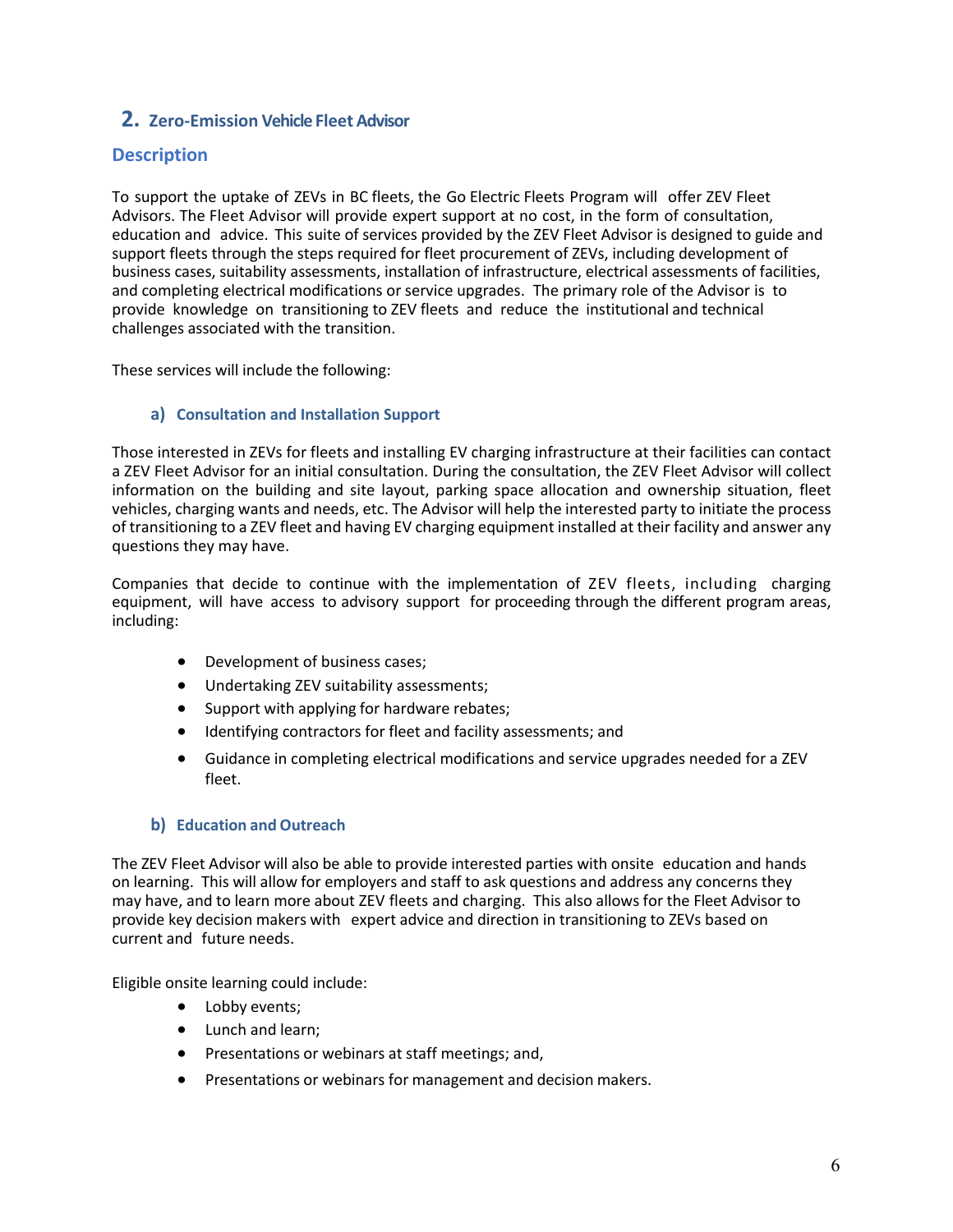## <span id="page-5-0"></span>**2. Zero-Emission Vehicle Fleet Advisor**

## **Description**

To support the uptake of ZEVs in BC fleets, the Go Electric Fleets Program will offer ZEV Fleet Advisors. The Fleet Advisor will provide expert support at no cost, in the form of consultation, education and advice. This suite of services provided by the ZEV Fleet Advisor is designed to guide and support fleets through the steps required for fleet procurement of ZEVs, including development of business cases, suitability assessments, installation of infrastructure, electrical assessments of facilities, and completing electrical modifications or service upgrades. The primary role of the Advisor is to provide knowledge on transitioning to ZEV fleets and reduce the institutional and technical challenges associated with the transition.

These services will include the following:

#### <span id="page-5-1"></span>**a) Consultation and Installation Support**

Those interested in ZEVs for fleets and installing EV charging infrastructure at their facilities can contact a ZEV Fleet Advisor for an initial consultation. During the consultation, the ZEV Fleet Advisor will collect information on the building and site layout, parking space allocation and ownership situation, fleet vehicles, charging wants and needs, etc. The Advisor will help the interested party to initiate the process of transitioning to a ZEV fleet and having EV charging equipment installed at their facility and answer any questions they may have.

Companies that decide to continue with the implementation of ZEV fleets, including charging equipment, will have access to advisory support for proceeding through the different program areas, including:

- Development of business cases;
- Undertaking ZEV suitability assessments;
- Support with applying for hardware rebates;
- Identifying contractors for fleet and facility assessments; and
- Guidance in completing electrical modifications and service upgrades needed for a ZEV fleet.

#### <span id="page-5-2"></span>**b) Education and Outreach**

The ZEV Fleet Advisor will also be able to provide interested parties with onsite education and hands on learning. This will allow for employers and staff to ask questions and address any concerns they may have, and to learn more about ZEV fleets and charging. This also allows for the Fleet Advisor to provide key decision makers with expert advice and direction in transitioning to ZEVs based on current and future needs.

Eligible onsite learning could include:

- Lobby events;
- Lunch and learn;
- Presentations or webinars at staff meetings; and,
- Presentations or webinars for management and decision makers.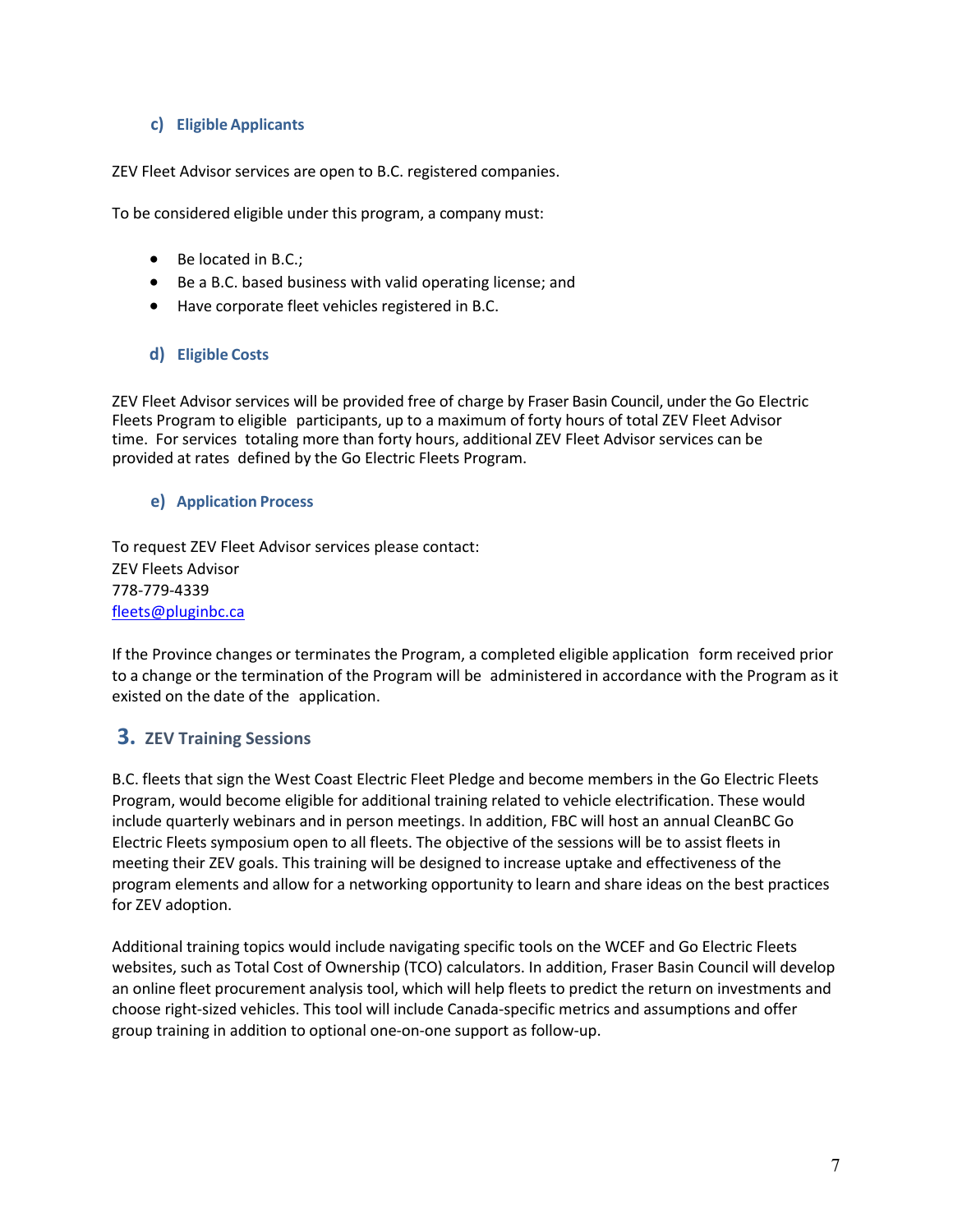#### <span id="page-6-0"></span>**c) Eligible Applicants**

ZEV Fleet Advisor services are open to B.C. registered companies.

To be considered eligible under this program, a company must:

- Be located in B.C.;
- Be a B.C. based business with valid operating license; and
- Have corporate fleet vehicles registered in B.C.

#### <span id="page-6-1"></span>**d) Eligible Costs**

ZEV Fleet Advisor services will be provided free of charge by Fraser Basin Council, under the Go Electric Fleets Program to eligible participants, up to a maximum of forty hours of total ZEV Fleet Advisor time. For services totaling more than forty hours, additional ZEV Fleet Advisor services can be provided at rates defined by the Go Electric Fleets Program.

#### <span id="page-6-2"></span>**e) Application Process**

To request ZEV Fleet Advisor services please contact: ZEV Fleets Advisor 778-779-4339 [fleets@pluginbc.ca](mailto:fleets@pluginbc.ca)

If the Province changes or terminates the Program, a completed eligible application form received prior to a change or the termination of the Program will be administered in accordance with the Program as it existed on the date of the application.

## <span id="page-6-3"></span>**3. ZEV Training Sessions**

B.C. fleets that sign the West Coast Electric Fleet Pledge and become members in the Go Electric Fleets Program, would become eligible for additional training related to vehicle electrification. These would include quarterly webinars and in person meetings. In addition, FBC will host an annual CleanBC Go Electric Fleets symposium open to all fleets. The objective of the sessions will be to assist fleets in meeting their ZEV goals. This training will be designed to increase uptake and effectiveness of the program elements and allow for a networking opportunity to learn and share ideas on the best practices for ZEV adoption.

Additional training topics would include navigating specific tools on the WCEF and Go Electric Fleets websites, such as Total Cost of Ownership (TCO) calculators. In addition, Fraser Basin Council will develop an online fleet procurement analysis tool, which will help fleets to predict the return on investments and choose right-sized vehicles. This tool will include Canada-specific metrics and assumptions and offer group training in addition to optional one-on-one support as follow-up.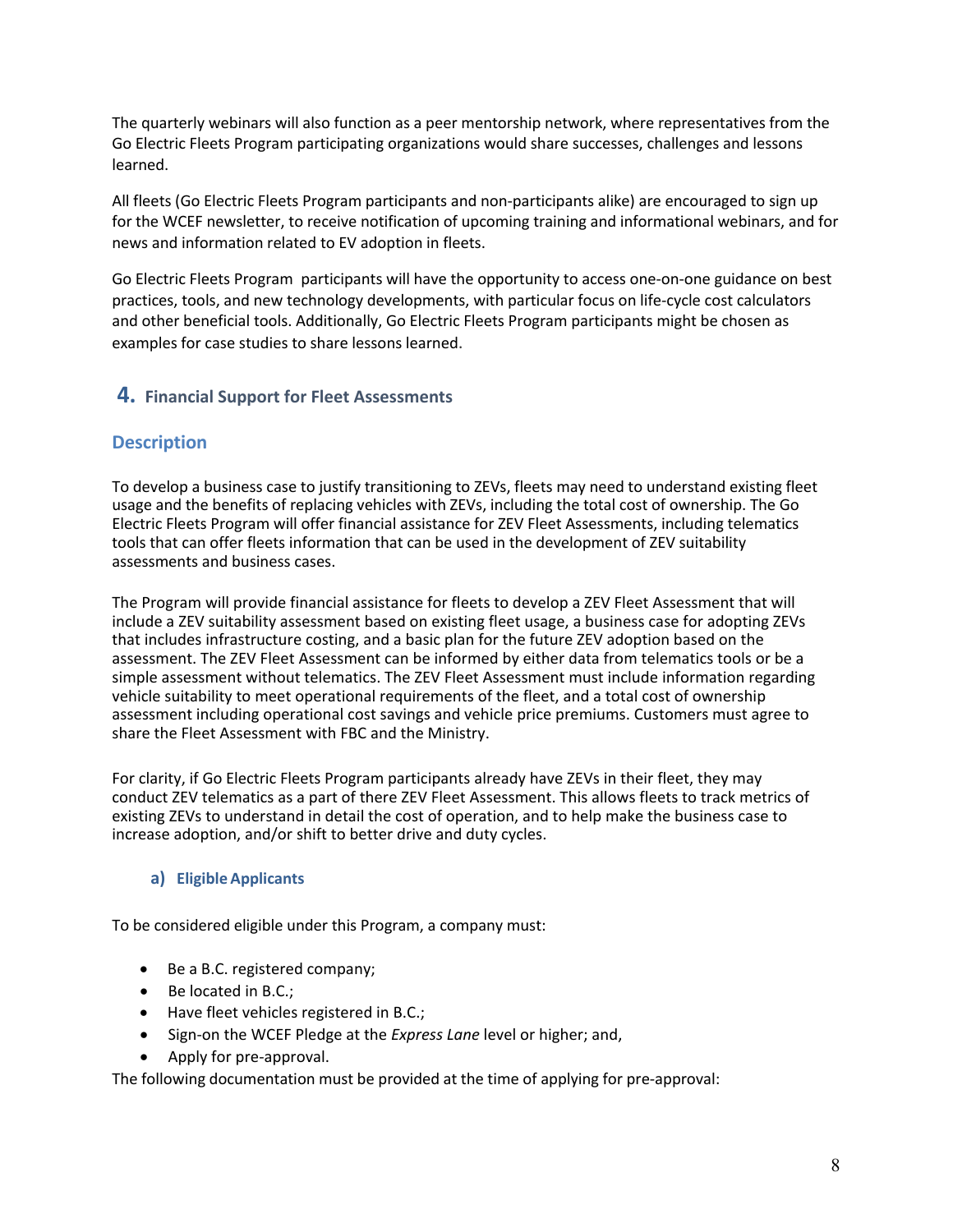The quarterly webinars will also function as a peer mentorship network, where representatives from the Go Electric Fleets Program participating organizations would share successes, challenges and lessons learned.

All fleets (Go Electric Fleets Program participants and non-participants alike) are encouraged to sign up for th[e WCEF newsletter,](http://visitor.r20.constantcontact.com/d.jsp?llr=ngs6cdcab&p=oi&m=1101762840781&sit=w9rclwqcb&f=18782880-127c-4f32-9315-eb385a5cf1a4) to receive notification of upcoming training and informational webinars, and for news and information related to EV adoption in fleets.

Go Electric Fleets Program participants will have the opportunity to access one-on-one guidance on best practices, tools, and new technology developments, with particular focus on life-cycle cost calculators and other [beneficial tools.](https://pluginbc.ca/resource/medium-and-heavy-duty-fleet-procurement/) Additionally, Go Electric Fleets Program participants might be chosen as examples for case studies to share lessons learned.

## <span id="page-7-0"></span>**4. Financial Support for Fleet Assessments**

## **Description**

To develop a business case to justify transitioning to ZEVs, fleets may need to understand existing fleet usage and the benefits of replacing vehicles with ZEVs, including the total cost of ownership. The Go Electric Fleets Program will offer financial assistance for ZEV Fleet Assessments, including telematics tools that can offer fleets information that can be used in the development of ZEV suitability assessments and business cases.

The Program will provide financial assistance for fleets to develop a ZEV Fleet Assessment that will include a ZEV suitability assessment based on existing fleet usage, a business case for adopting ZEVs that includes infrastructure costing, and a basic plan for the future ZEV adoption based on the assessment. The ZEV Fleet Assessment can be informed by either data from telematics tools or be a simple assessment without telematics. The ZEV Fleet Assessment must include information regarding vehicle suitability to meet operational requirements of the fleet, and a total cost of ownership assessment including operational cost savings and vehicle price premiums. Customers must agree to share the Fleet Assessment with FBC and the Ministry.

For clarity, if Go Electric Fleets Program participants already have ZEVs in their fleet, they may conduct ZEV telematics as a part of there ZEV Fleet Assessment. This allows fleets to track metrics of existing ZEVs to understand in detail the cost of operation, and to help make the business case to increase adoption, and/or shift to better drive and duty cycles.

#### <span id="page-7-1"></span>**a) Eligible Applicants**

To be considered eligible under this Program, a company must:

- Be a B.C. registered company;
- Be located in B.C.;
- Have fleet vehicles registered in B.C.;
- Sign-on the WCEF Pledge at the *Express Lane* level or higher; and,
- Apply for pre-approval.

The following documentation must be provided at the time of applying for pre-approval: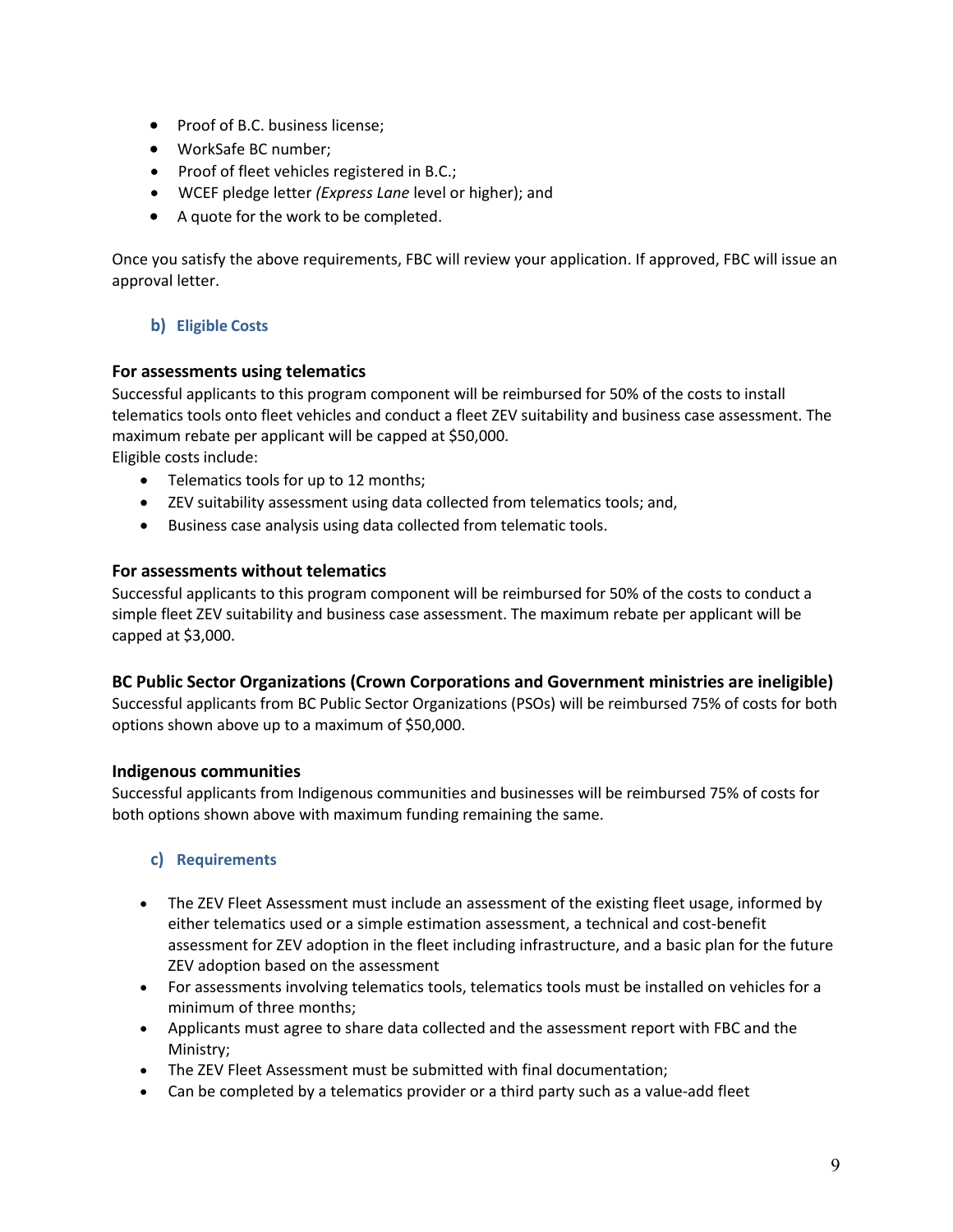- Proof of B.C. business license;
- WorkSafe BC number;
- Proof of fleet vehicles registered in B.C.;
- WCEF pledge letter *(Express Lane* level or higher); and
- A quote for the work to be completed.

Once you satisfy the above requirements, FBC will review your application. If approved, FBC will issue an approval letter.

## <span id="page-8-0"></span>**b) Eligible Costs**

#### **For assessments using telematics**

Successful applicants to this program component will be reimbursed for 50% of the costs to install telematics tools onto fleet vehicles and conduct a fleet ZEV suitability and business case assessment. The maximum rebate per applicant will be capped at \$50,000.

Eligible costs include:

- Telematics tools for up to 12 months;
- ZEV suitability assessment using data collected from telematics tools; and,
- Business case analysis using data collected from telematic tools.

#### **For assessments without telematics**

Successful applicants to this program component will be reimbursed for 50% of the costs to conduct a simple fleet ZEV suitability and business case assessment. The maximum rebate per applicant will be capped at \$3,000.

#### **BC Public Sector Organizations (Crown Corporations and Government ministries are ineligible)**

Successful applicants from BC Public Sector Organizations (PSOs) will be reimbursed 75% of costs for both options shown above up to a maximum of \$50,000.

#### **Indigenous communities**

Successful applicants from Indigenous communities and businesses will be reimbursed 75% of costs for both options shown above with maximum funding remaining the same.

#### <span id="page-8-1"></span>**c) Requirements**

- The ZEV Fleet Assessment must include an assessment of the existing fleet usage, informed by either telematics used or a simple estimation assessment, a technical and cost-benefit assessment for ZEV adoption in the fleet including infrastructure, and a basic plan for the future ZEV adoption based on the assessment
- For assessments involving telematics tools, telematics tools must be installed on vehicles for a minimum of three months;
- Applicants must agree to share data collected and the assessment report with FBC and the Ministry;
- The ZEV Fleet Assessment must be submitted with final documentation;
- Can be completed by a telematics provider or a third party such as a value-add fleet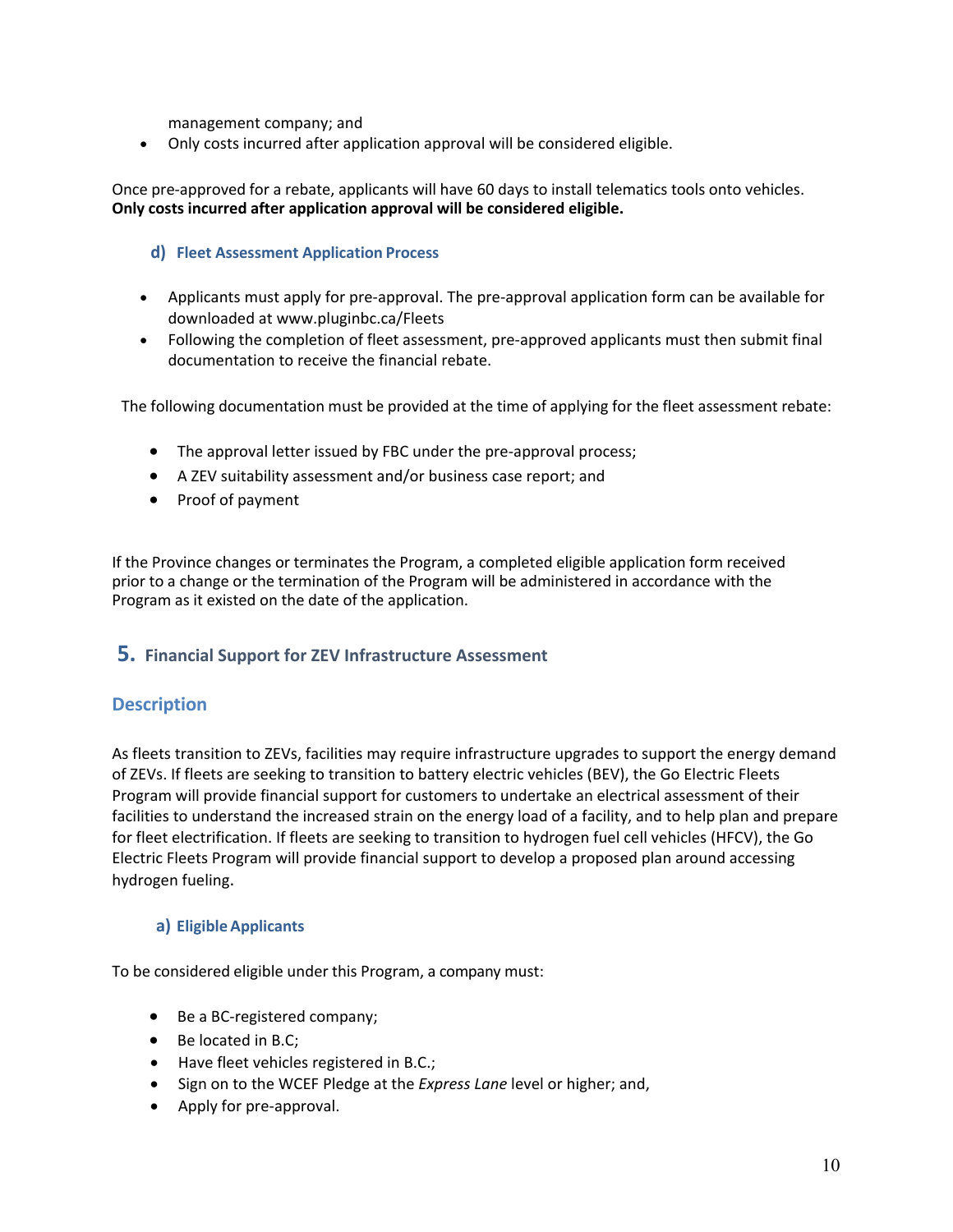management company; and

• Only costs incurred after application approval will be considered eligible.

Once pre-approved for a rebate, applicants will have 60 days to install telematics tools onto vehicles. **Only costs incurred after application approval will be considered eligible.**

#### <span id="page-9-0"></span>**d) Fleet Assessment Application Process**

- Applicants must apply for pre-approval. The pre-approval application form can be available for downloaded at www.pluginbc.ca/Fleets
- Following the completion of fleet assessment, pre-approved applicants must then submit final documentation to receive the financial rebate.

The following documentation must be provided at the time of applying for the fleet assessment rebate:

- The approval letter issued by FBC under the pre-approval process;
- A ZEV suitability assessment and/or business case report; and
- Proof of payment

If the Province changes or terminates the Program, a completed eligible application form received prior to a change or the termination of the Program will be administered in accordance with the Program as it existed on the date of the application.

#### <span id="page-9-1"></span>**5. Financial Support for ZEV Infrastructure Assessment**

#### **Description**

As fleets transition to ZEVs, facilities may require infrastructure upgrades to support the energy demand of ZEVs. If fleets are seeking to transition to battery electric vehicles (BEV), the Go Electric Fleets Program will provide financial support for customers to undertake an electrical assessment of their facilities to understand the increased strain on the energy load of a facility, and to help plan and prepare for fleet electrification. If fleets are seeking to transition to hydrogen fuel cell vehicles (HFCV), the Go Electric Fleets Program will provide financial support to develop a proposed plan around accessing hydrogen fueling.

#### <span id="page-9-2"></span>**a) Eligible Applicants**

To be considered eligible under this Program, a company must:

- Be a BC-registered company;
- Be located in B.C;
- Have fleet vehicles registered in B.C.;
- Sign on to the WCEF Pledge at the *Express Lane* level or higher; and,
- Apply for pre-approval.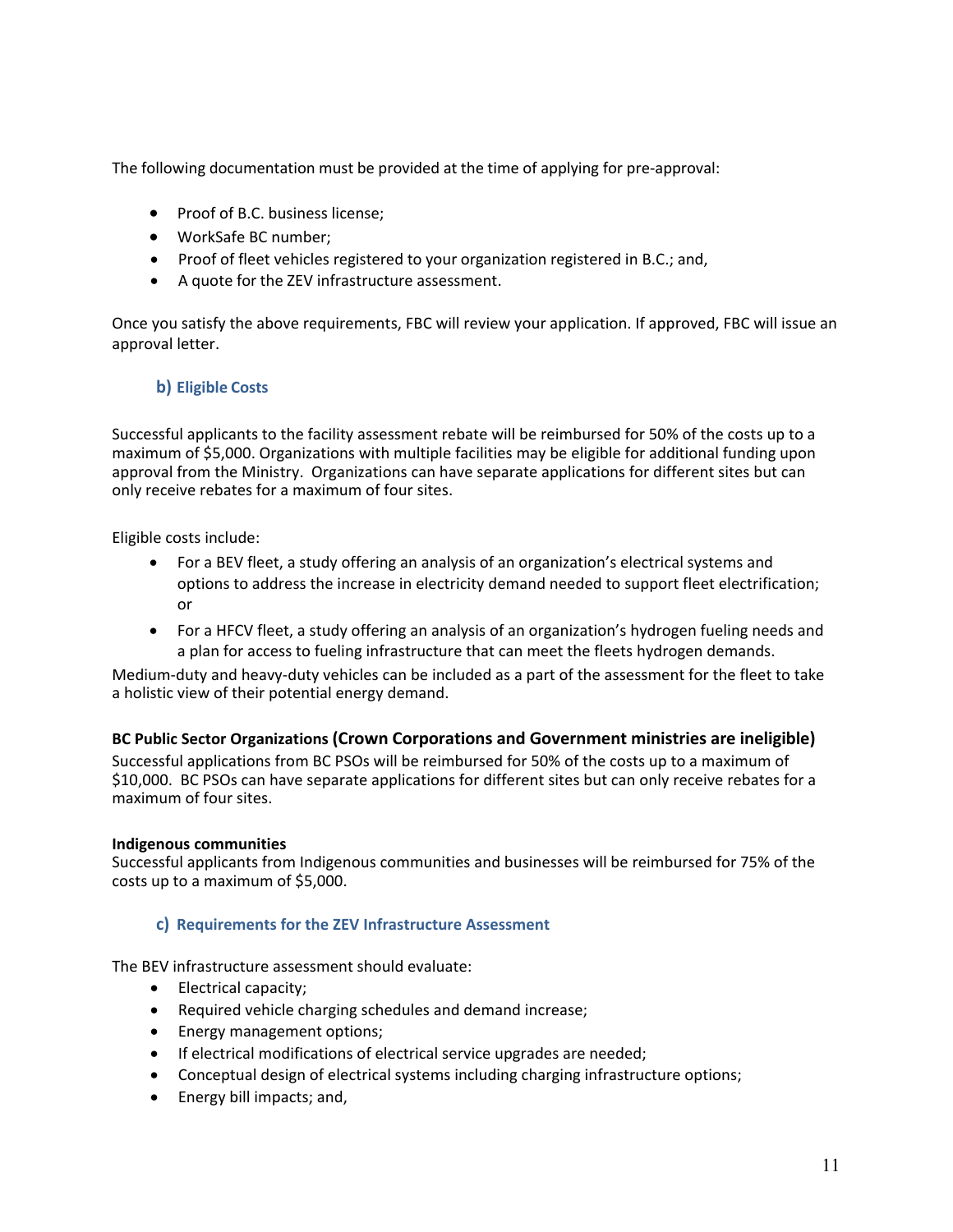The following documentation must be provided at the time of applying for pre-approval:

- Proof of B.C. business license;
- WorkSafe BC number;
- Proof of fleet vehicles registered to your organization registered in B.C.; and,
- A quote for the ZEV infrastructure assessment.

Once you satisfy the above requirements, FBC will review your application. If approved, FBC will issue an approval letter.

#### <span id="page-10-0"></span>**b) Eligible Costs**

Successful applicants to the facility assessment rebate will be reimbursed for 50% of the costs up to a maximum of \$5,000. Organizations with multiple facilities may be eligible for additional funding upon approval from the Ministry. Organizations can have separate applications for different sites but can only receive rebates for a maximum of four sites.

Eligible costs include:

- For a BEV fleet, a study offering an analysis of an organization's electrical systems and options to address the increase in electricity demand needed to support fleet electrification; or
- For a HFCV fleet, a study offering an analysis of an organization's hydrogen fueling needs and a plan for access to fueling infrastructure that can meet the fleets hydrogen demands.

Medium-duty and heavy-duty vehicles can be included as a part of the assessment for the fleet to take a holistic view of their potential energy demand.

#### **BC Public Sector Organizations (Crown Corporations and Government ministries are ineligible)**

Successful applications from BC PSOs will be reimbursed for 50% of the costs up to a maximum of \$10,000. BC PSOs can have separate applications for different sites but can only receive rebates for a maximum of four sites.

#### **Indigenous communities**

Successful applicants from Indigenous communities and businesses will be reimbursed for 75% of the costs up to a maximum of \$5,000.

#### <span id="page-10-1"></span>**c) Requirements for the ZEV Infrastructure Assessment**

The BEV infrastructure assessment should evaluate:

- Electrical capacity;
- Required vehicle charging schedules and demand increase;
- Energy management options;
- If electrical modifications of electrical service upgrades are needed;
- Conceptual design of electrical systems including charging infrastructure options;
- Energy bill impacts; and,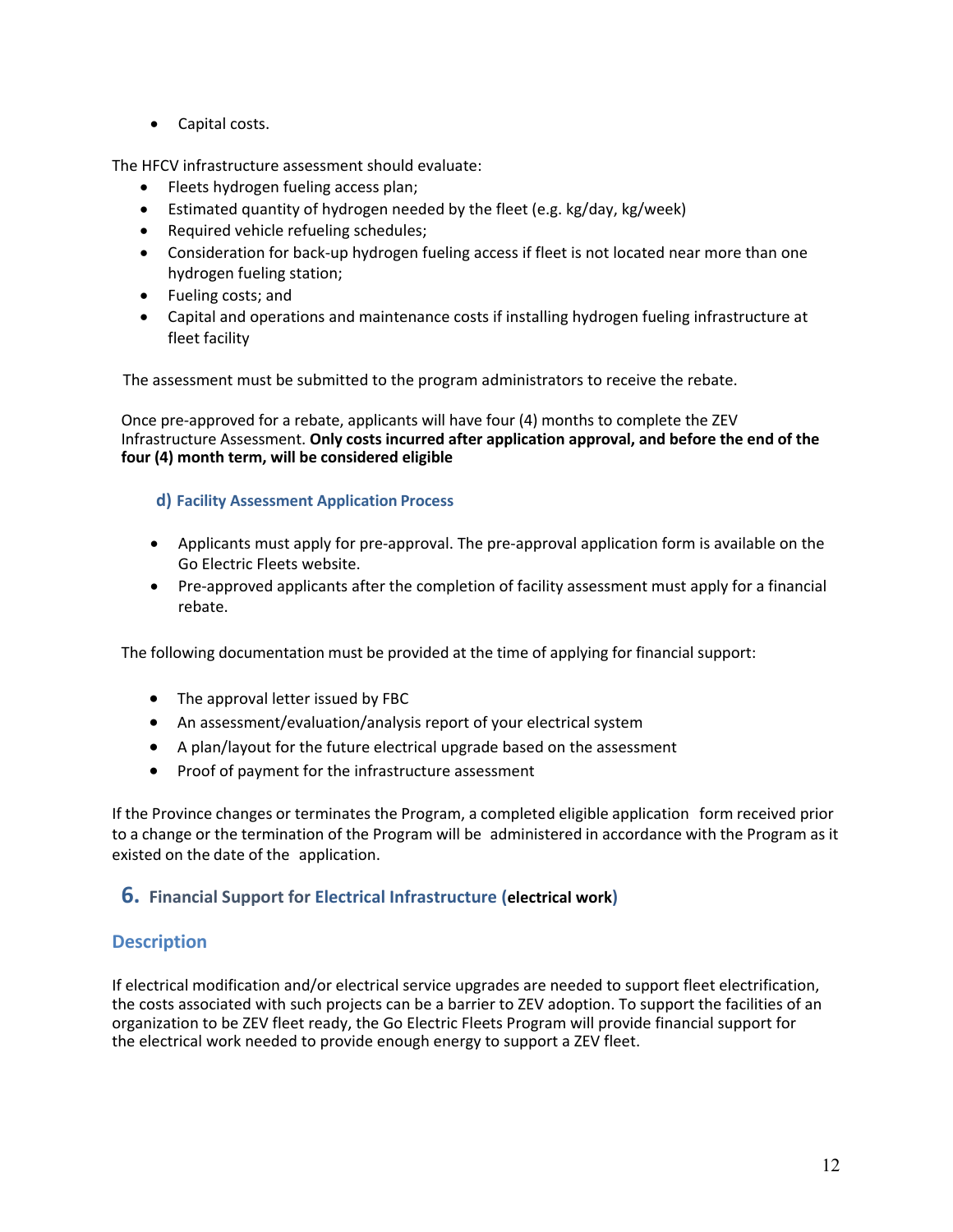• Capital costs.

The HFCV infrastructure assessment should evaluate:

- Fleets hydrogen fueling access plan;
- Estimated quantity of hydrogen needed by the fleet (e.g. kg/day, kg/week)
- Required vehicle refueling schedules;
- Consideration for back-up hydrogen fueling access if fleet is not located near more than one hydrogen fueling station;
- Fueling costs; and
- Capital and operations and maintenance costs if installing hydrogen fueling infrastructure at fleet facility

The assessment must be submitted to the program administrators to receive the rebate.

Once pre-approved for a rebate, applicants will have four (4) months to complete the ZEV Infrastructure Assessment. **Only costs incurred after application approval, and before the end of the four (4) month term, will be considered eligible**

#### <span id="page-11-0"></span>**d) Facility Assessment Application Process**

- Applicants must apply for pre-approval. The pre-approval application form is available on the Go Electric Fleets website.
- Pre-approved applicants after the completion of facility assessment must apply for a financial rebate.

The following documentation must be provided at the time of applying for financial support:

- The approval letter issued by FBC
- An assessment/evaluation/analysis report of your electrical system
- A plan/layout for the future electrical upgrade based on the assessment
- Proof of payment for the infrastructure assessment

If the Province changes or terminates the Program, a completed eligible application form received prior to a change or the termination of the Program will be administered in accordance with the Program as it existed on the date of the application.

#### <span id="page-11-1"></span>**6. Financial Support for Electrical Infrastructure (electrical work)**

## **Description**

If electrical modification and/or electrical service upgrades are needed to support fleet electrification, the costs associated with such projects can be a barrier to ZEV adoption. To support the facilities of an organization to be ZEV fleet ready, the Go Electric Fleets Program will provide financial support for the electrical work needed to provide enough energy to support a ZEV fleet.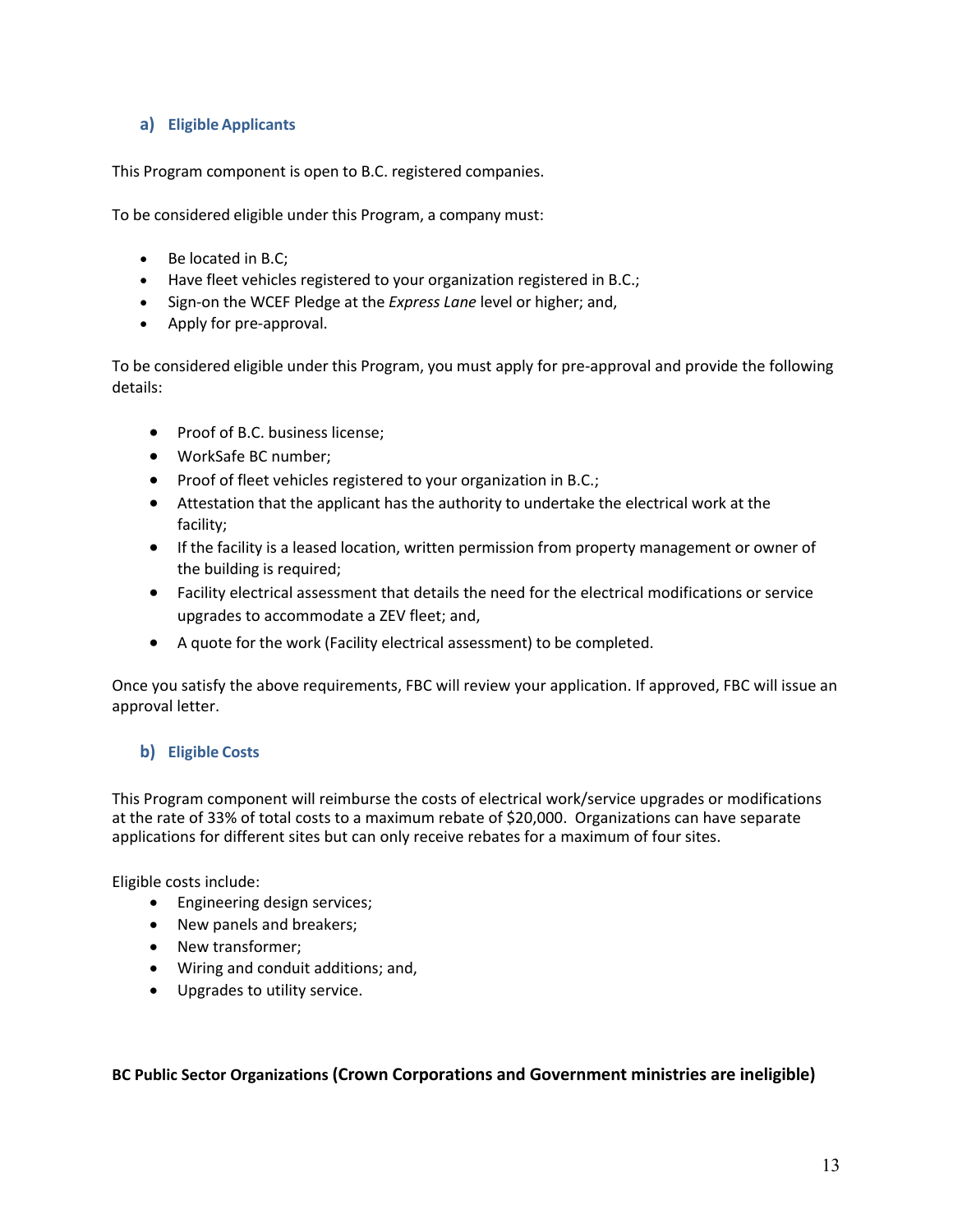#### <span id="page-12-0"></span>**a) Eligible Applicants**

This Program component is open to B.C. registered companies.

To be considered eligible under this Program, a company must:

- Be located in B.C;
- Have fleet vehicles registered to your organization registered in B.C.;
- Sign-on the WCEF Pledge at the *Express Lane* level or higher; and,
- Apply for pre-approval.

To be considered eligible under this Program, you must apply for pre-approval and provide the following details:

- Proof of B.C. business license:
- WorkSafe BC number;
- Proof of fleet vehicles registered to your organization in B.C.;
- Attestation that the applicant has the authority to undertake the electrical work at the facility;
- If the facility is a leased location, written permission from property management or owner of the building is required;
- Facility electrical assessment that details the need for the electrical modifications or service upgrades to accommodate a ZEV fleet; and,
- A quote for the work (Facility electrical assessment) to be completed.

Once you satisfy the above requirements, FBC will review your application. If approved, FBC will issue an approval letter.

## <span id="page-12-1"></span>**b) Eligible Costs**

This Program component will reimburse the costs of electrical work/service upgrades or modifications at the rate of 33% of total costs to a maximum rebate of \$20,000. Organizations can have separate applications for different sites but can only receive rebates for a maximum of four sites.

Eligible costs include:

- Engineering design services;
- New panels and breakers;
- New transformer;
- Wiring and conduit additions; and,
- Upgrades to utility service.

**BC Public Sector Organizations (Crown Corporations and Government ministries are ineligible)**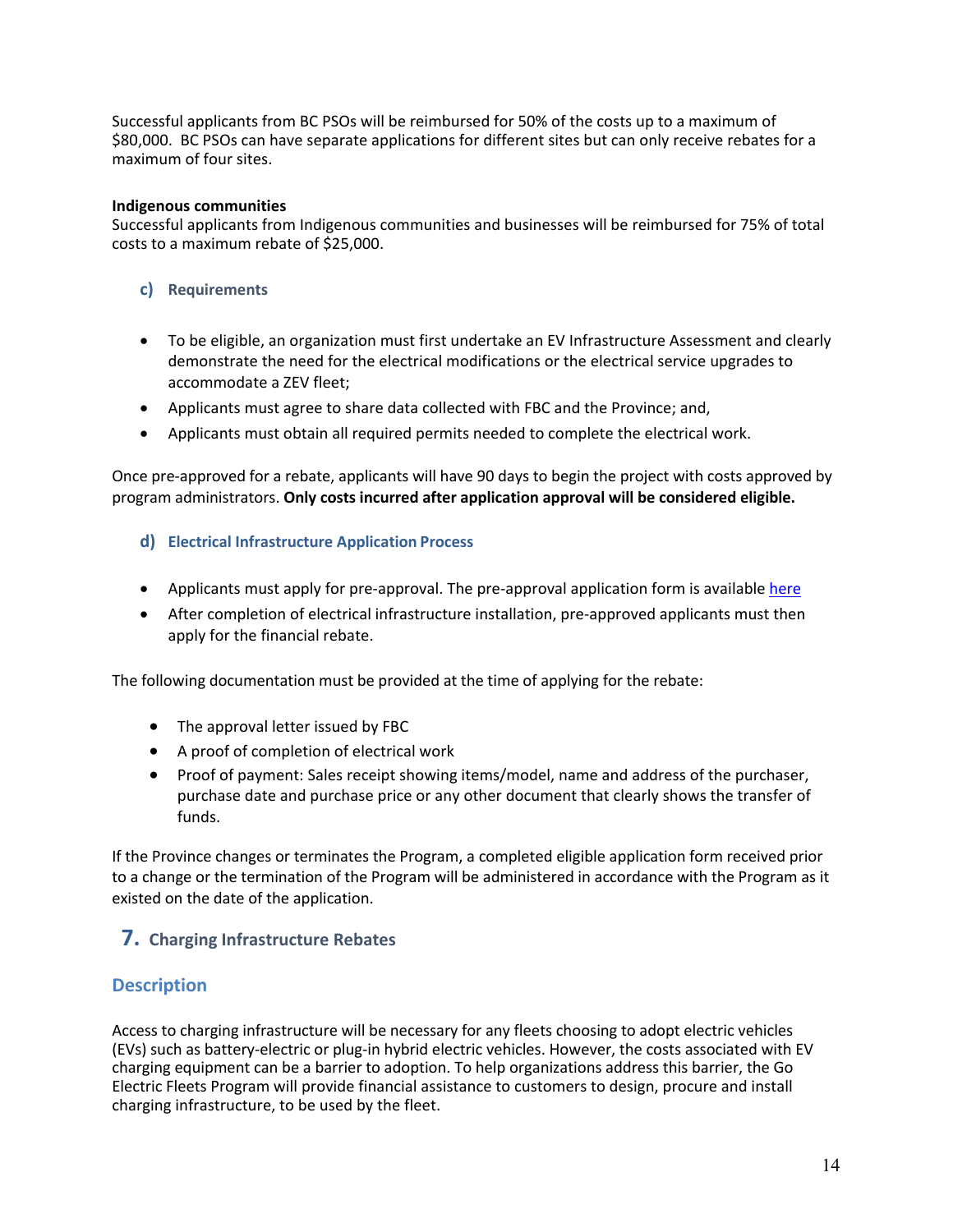Successful applicants from BC PSOs will be reimbursed for 50% of the costs up to a maximum of \$80,000. BC PSOs can have separate applications for different sites but can only receive rebates for a maximum of four sites.

#### **Indigenous communities**

Successful applicants from Indigenous communities and businesses will be reimbursed for 75% of total costs to a maximum rebate of \$25,000.

#### <span id="page-13-0"></span>**c) Requirements**

- To be eligible, an organization must first undertake an EV Infrastructure Assessment and clearly demonstrate the need for the electrical modifications or the electrical service upgrades to accommodate a ZEV fleet;
- Applicants must agree to share data collected with FBC and the Province; and,
- Applicants must obtain all required permits needed to complete the electrical work.

Once pre-approved for a rebate, applicants will have 90 days to begin the project with costs approved by program administrators. **Only costs incurred after application approval will be considered eligible.**

#### <span id="page-13-1"></span>**d) Electrical Infrastructure Application Process**

- Applicants must apply for pre-approval. The pre-approval application form is availabl[e here](mailto:https://pluginbc.smapply.ca/prog/goelectricfleets/)
- After completion of electrical infrastructure installation, pre-approved applicants must then apply for the financial rebate.

The following documentation must be provided at the time of applying for the rebate:

- The approval letter issued by FBC
- A proof of completion of electrical work
- Proof of payment: Sales receipt showing items/model, name and address of the purchaser, purchase date and purchase price or any other document that clearly shows the transfer of funds.

If the Province changes or terminates the Program, a completed eligible application form received prior to a change or the termination of the Program will be administered in accordance with the Program as it existed on the date of the application.

## <span id="page-13-2"></span>**7. Charging Infrastructure Rebates**

## **Description**

Access to charging infrastructure will be necessary for any fleets choosing to adopt electric vehicles (EVs) such as battery-electric or plug-in hybrid electric vehicles. However, the costs associated with EV charging equipment can be a barrier to adoption. To help organizations address this barrier, the Go Electric Fleets Program will provide financial assistance to customers to design, procure and install charging infrastructure, to be used by the fleet.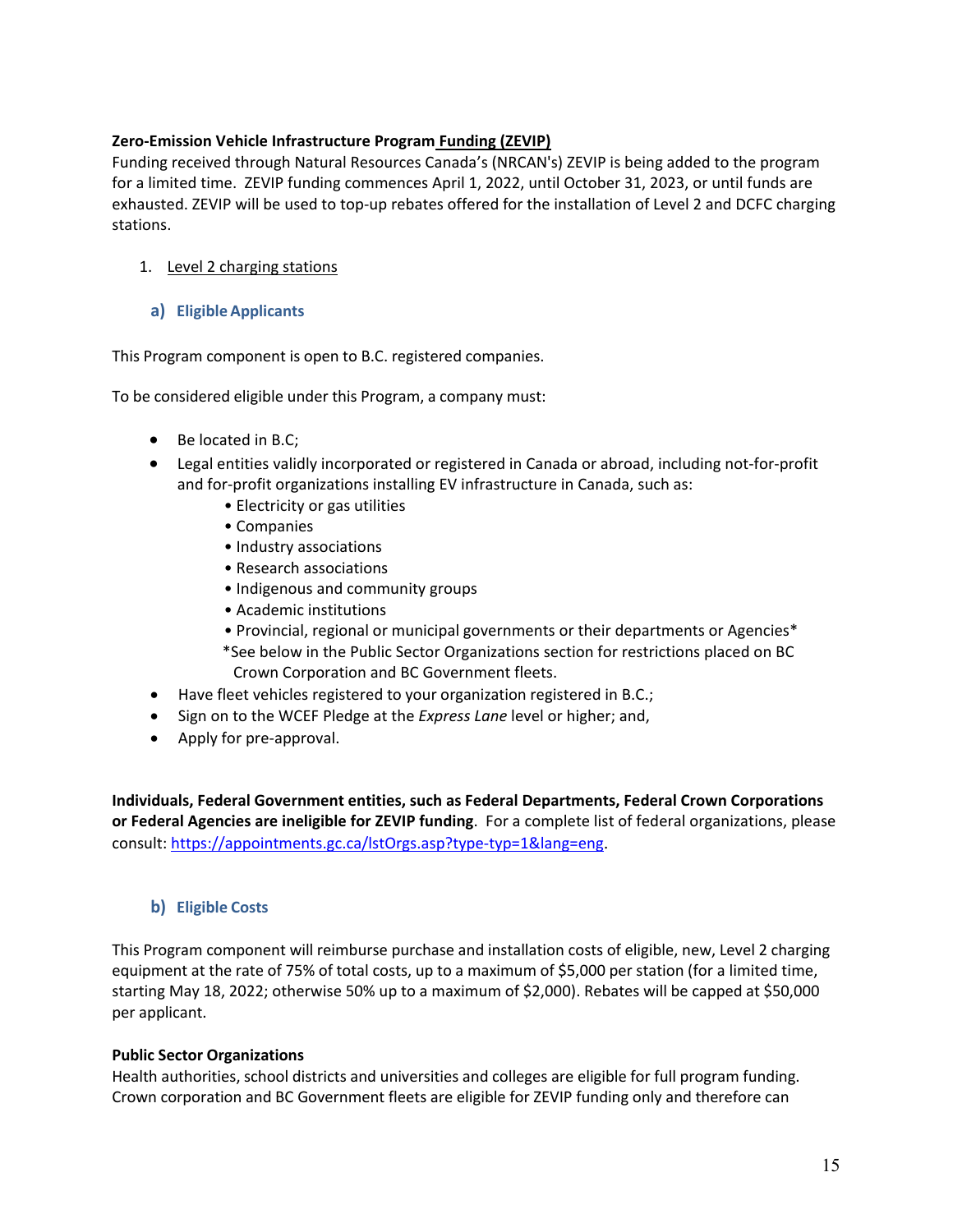#### **Zero-Emission Vehicle Infrastructure Program Funding (ZEVIP)**

Funding received through Natural Resources Canada's (NRCAN's) ZEVIP is being added to the program for a limited time. ZEVIP funding commences April 1, 2022, until October 31, 2023, or until funds are exhausted. ZEVIP will be used to top-up rebates offered for the installation of Level 2 and DCFC charging stations.

#### 1. Level 2 charging stations

#### <span id="page-14-0"></span>**a) Eligible Applicants**

This Program component is open to B.C. registered companies.

To be considered eligible under this Program, a company must:

- Be located in B.C;
- Legal entities validly incorporated or registered in Canada or abroad, including not-for-profit and for-profit organizations installing EV infrastructure in Canada, such as:
	- Electricity or gas utilities
	- Companies
	- Industry associations
	- Research associations
	- Indigenous and community groups
	- Academic institutions
	- Provincial, regional or municipal governments or their departments or Agencies\*
	- \*See below in the Public Sector Organizations section for restrictions placed on BC Crown Corporation and BC Government fleets.
- Have fleet vehicles registered to your organization registered in B.C.;
- Sign on to the WCEF Pledge at the *Express Lane* level or higher; and,
- Apply for pre-approval.

**Individuals, Federal Government entities, such as Federal Departments, Federal Crown Corporations or Federal Agencies are ineligible for ZEVIP funding**. For a complete list of federal organizations, please consult: [https://appointments.gc.ca/lstOrgs.asp?type-typ=1&lang=eng](https://can01.safelinks.protection.outlook.com/?url=https%3A%2F%2Fappointments.gc.ca%2FlstOrgs.asp%3Ftype-typ%3D1%26lang%3Deng&data=04%7C01%7CBinaipal.Gill%40gov.bc.ca%7C9c1e14f9da2e4968b83608d9be4c43c3%7C6fdb52003d0d4a8ab036d3685e359adc%7C0%7C0%7C637750057039244732%7CUnknown%7CTWFpbGZsb3d8eyJWIjoiMC4wLjAwMDAiLCJQIjoiV2luMzIiLCJBTiI6Ik1haWwiLCJXVCI6Mn0%3D%7C3000&sdata=S5Pl1uBIvusMRdXKcQx32E74%2BKisEsV4x3wZjfqpRfM%3D&reserved=0).

#### <span id="page-14-1"></span>**b) Eligible Costs**

This Program component will reimburse purchase and installation costs of eligible, new, Level 2 charging equipment at the rate of 75% of total costs, up to a maximum of \$5,000 per station (for a limited time, starting May 18, 2022; otherwise 50% up to a maximum of \$2,000). Rebates will be capped at \$50,000 per applicant.

#### **Public Sector Organizations**

Health authorities, school districts and universities and colleges are eligible for full program funding. Crown corporation and BC Government fleets are eligible for ZEVIP funding only and therefore can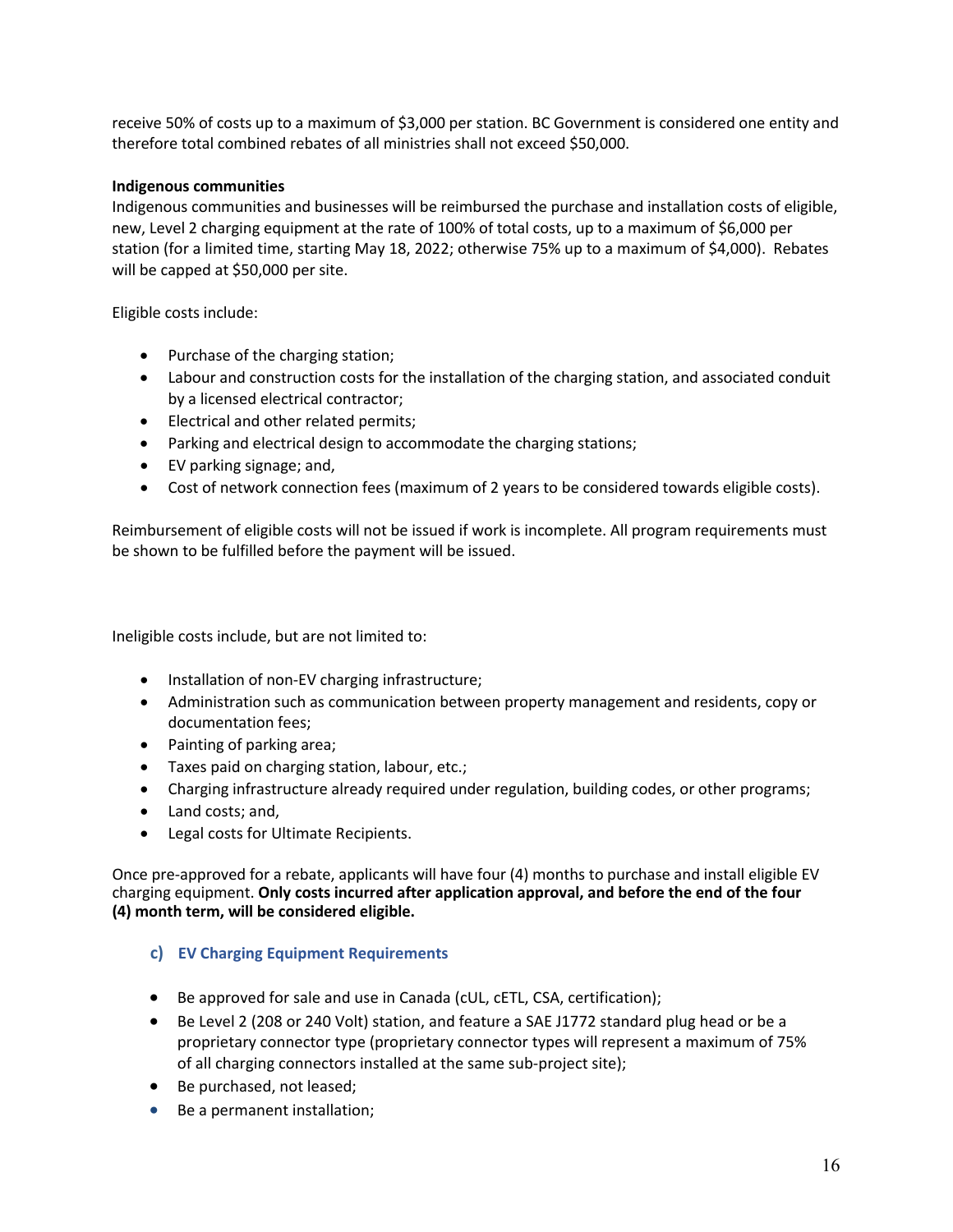receive 50% of costs up to a maximum of \$3,000 per station. BC Government is considered one entity and therefore total combined rebates of all ministries shall not exceed \$50,000.

#### **Indigenous communities**

Indigenous communities and businesses will be reimbursed the purchase and installation costs of eligible, new, Level 2 charging equipment at the rate of 100% of total costs, up to a maximum of \$6,000 per station (for a limited time, starting May 18, 2022; otherwise 75% up to a maximum of \$4,000). Rebates will be capped at \$50,000 per site.

Eligible costs include:

- Purchase of the charging station;
- Labour and construction costs for the installation of the charging station, and associated conduit by a licensed electrical contractor;
- Electrical and other related permits;
- Parking and electrical design to accommodate the charging stations;
- EV parking signage; and,
- Cost of network connection fees (maximum of 2 years to be considered towards eligible costs).

Reimbursement of eligible costs will not be issued if work is incomplete. All program requirements must be shown to be fulfilled before the payment will be issued.

Ineligible costs include, but are not limited to:

- Installation of non-EV charging infrastructure;
- Administration such as communication between property management and residents, copy or documentation fees;
- Painting of parking area;
- Taxes paid on charging station, labour, etc.;
- Charging infrastructure already required under regulation, building codes, or other programs;
- Land costs; and,
- Legal costs for Ultimate Recipients.

Once pre-approved for a rebate, applicants will have four (4) months to purchase and install eligible EV charging equipment. **Only costs incurred after application approval, and before the end of the four (4) month term, will be considered eligible.**

#### <span id="page-15-0"></span>**c) EV Charging Equipment Requirements**

- Be approved for sale and use in Canada (cUL, cETL, CSA, certification);
- Be Level 2 (208 or 240 Volt) station, and feature a SAE J1772 standard plug head or be a proprietary connector type (proprietary connector types will represent a maximum of 75% of all charging connectors installed at the same sub-project site);
- Be purchased, not leased;
- Be a permanent installation;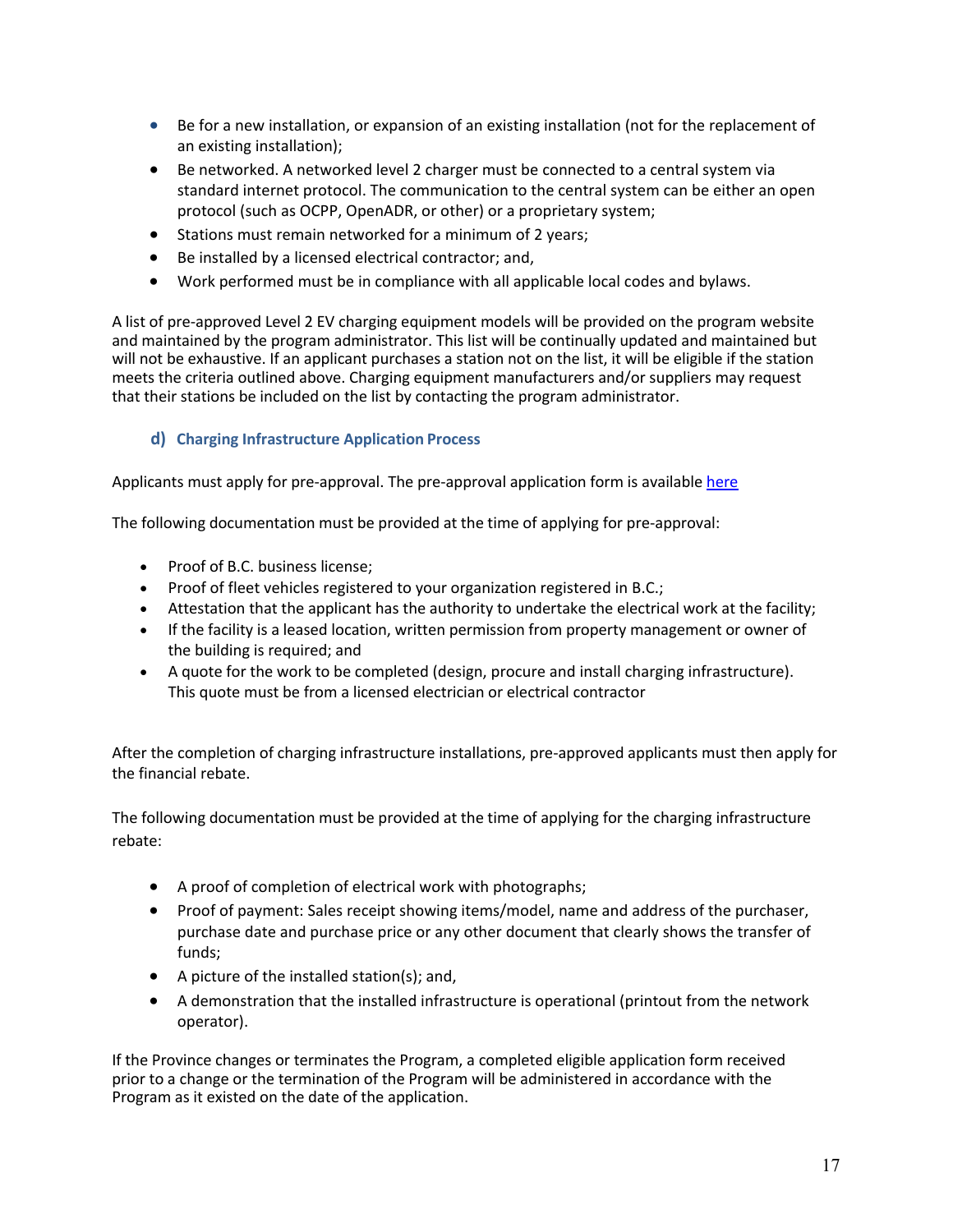- Be for a new installation, or expansion of an existing installation (not for the replacement of an existing installation);
- Be networked. A networked level 2 charger must be connected to a central system via standard internet protocol. The communication to the central system can be either an open protocol (such as OCPP, OpenADR, or other) or a proprietary system;
- Stations must remain networked for a minimum of 2 years;
- Be installed by a licensed electrical contractor; and,
- Work performed must be in compliance with all applicable local codes and bylaws.

A list of pre-approved Level 2 EV charging equipment models will be provided on the program website and maintained by the program administrator. This list will be continually updated and maintained but will not be exhaustive. If an applicant purchases a station not on the list, it will be eligible if the station meets the criteria outlined above. Charging equipment manufacturers and/or suppliers may request that their stations be included on the list by contacting the program administrator.

#### <span id="page-16-0"></span>**d) Charging Infrastructure Application Process**

Applicants must apply for pre-approval. The pre-approval application form is available [here](mailto:https://pluginbc.smapply.ca/prog/goelectricfleets/)

The following documentation must be provided at the time of applying for pre-approval:

- Proof of B.C. business license;
- Proof of fleet vehicles registered to your organization registered in B.C.;
- Attestation that the applicant has the authority to undertake the electrical work at the facility;
- If the facility is a leased location, written permission from property management or owner of the building is required; and
- A quote for the work to be completed (design, procure and install charging infrastructure). This quote must be from a licensed electrician or electrical contractor

After the completion of charging infrastructure installations, pre-approved applicants must then apply for the financial rebate.

The following documentation must be provided at the time of applying for the charging infrastructure rebate:

- A proof of completion of electrical work with photographs;
- Proof of payment: Sales receipt showing items/model, name and address of the purchaser, purchase date and purchase price or any other document that clearly shows the transfer of funds;
- A picture of the installed station(s); and,
- A demonstration that the installed infrastructure is operational (printout from the network operator).

If the Province changes or terminates the Program, a completed eligible application form received prior to a change or the termination of the Program will be administered in accordance with the Program as it existed on the date of the application.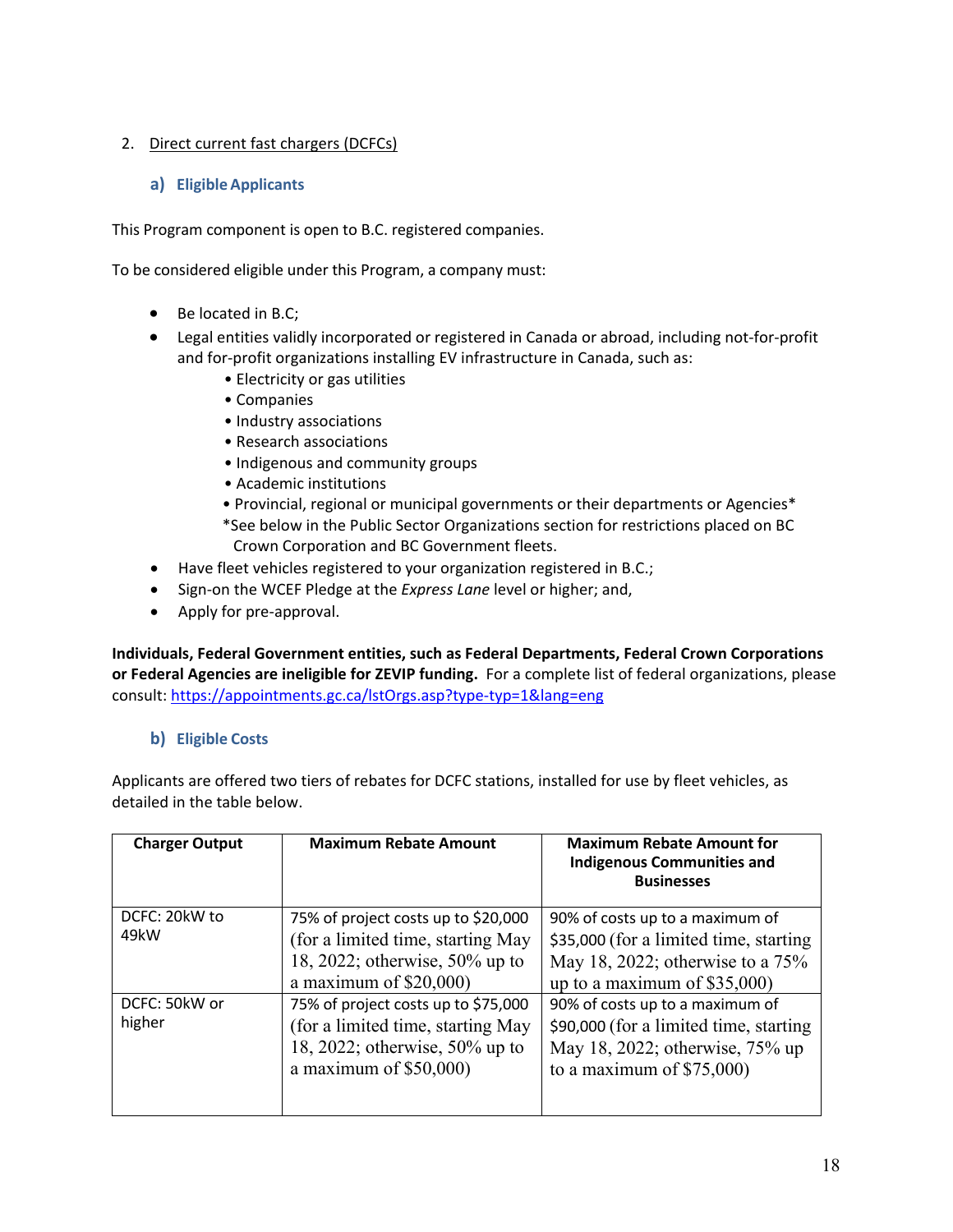#### <span id="page-17-0"></span>2. Direct current fast chargers (DCFCs)

#### **a) Eligible Applicants**

This Program component is open to B.C. registered companies.

To be considered eligible under this Program, a company must:

- Be located in B.C;
- Legal entities validly incorporated or registered in Canada or abroad, including not-for-profit and for-profit organizations installing EV infrastructure in Canada, such as:
	- Electricity or gas utilities
	- Companies
	- Industry associations
	- Research associations
	- Indigenous and community groups
	- Academic institutions
	- Provincial, regional or municipal governments or their departments or Agencies\* \*See below in the Public Sector Organizations section for restrictions placed on BC
	- Crown Corporation and BC Government fleets.
- Have fleet vehicles registered to your organization registered in B.C.;
- Sign-on the WCEF Pledge at the *Express Lane* level or higher; and,
- Apply for pre-approval.

**Individuals, Federal Government entities, such as Federal Departments, Federal Crown Corporations or Federal Agencies are ineligible for ZEVIP funding.** For a complete list of federal organizations, please consult: [https://appointments.gc.ca/lstOrgs.asp?type-typ=1&lang=eng](https://can01.safelinks.protection.outlook.com/?url=https%3A%2F%2Fappointments.gc.ca%2FlstOrgs.asp%3Ftype-typ%3D1%26lang%3Deng&data=04%7C01%7CBinaipal.Gill%40gov.bc.ca%7C9c1e14f9da2e4968b83608d9be4c43c3%7C6fdb52003d0d4a8ab036d3685e359adc%7C0%7C0%7C637750057039244732%7CUnknown%7CTWFpbGZsb3d8eyJWIjoiMC4wLjAwMDAiLCJQIjoiV2luMzIiLCJBTiI6Ik1haWwiLCJXVCI6Mn0%3D%7C3000&sdata=S5Pl1uBIvusMRdXKcQx32E74%2BKisEsV4x3wZjfqpRfM%3D&reserved=0)

#### <span id="page-17-1"></span>**b) Eligible Costs**

Applicants are offered two tiers of rebates for DCFC stations, installed for use by fleet vehicles, as detailed in the table below.

| <b>Charger Output</b>   | <b>Maximum Rebate Amount</b>                                                                                                            | <b>Maximum Rebate Amount for</b><br><b>Indigenous Communities and</b><br><b>Businesses</b>                                                      |
|-------------------------|-----------------------------------------------------------------------------------------------------------------------------------------|-------------------------------------------------------------------------------------------------------------------------------------------------|
| DCFC: 20kW to<br>49kW   | 75% of project costs up to \$20,000<br>(for a limited time, starting May<br>18, 2022; otherwise, $50\%$ up to<br>a maximum of $$20,000$ | 90% of costs up to a maximum of<br>\$35,000 (for a limited time, starting<br>May 18, 2022; otherwise to a 75%<br>up to a maximum of $$35,000$ ) |
| DCFC: 50kW or<br>higher | 75% of project costs up to \$75,000<br>(for a limited time, starting May<br>18, 2022; otherwise, $50\%$ up to<br>a maximum of $$50,000$ | 90% of costs up to a maximum of<br>\$90,000 (for a limited time, starting<br>May 18, 2022; otherwise, 75% up<br>to a maximum of $$75,000$ )     |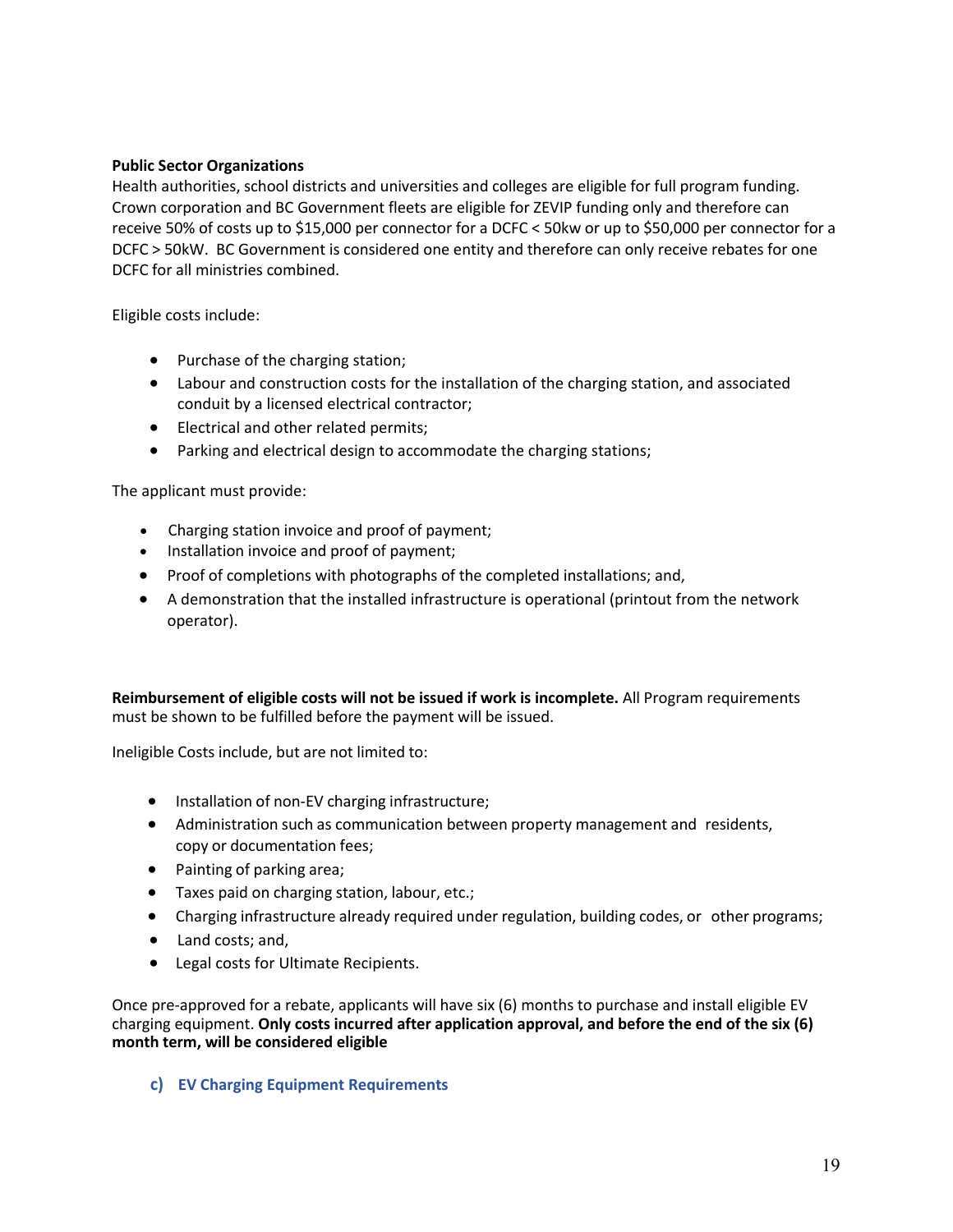#### **Public Sector Organizations**

Health authorities, school districts and universities and colleges are eligible for full program funding. Crown corporation and BC Government fleets are eligible for ZEVIP funding only and therefore can receive 50% of costs up to \$15,000 per connector for a DCFC < 50kw or up to \$50,000 per connector for a DCFC > 50kW. BC Government is considered one entity and therefore can only receive rebates for one DCFC for all ministries combined.

Eligible costs include:

- Purchase of the charging station;
- Labour and construction costs for the installation of the charging station, and associated conduit by a licensed electrical contractor;
- Electrical and other related permits;
- Parking and electrical design to accommodate the charging stations;

The applicant must provide:

- Charging station invoice and proof of payment;
- Installation invoice and proof of payment;
- Proof of completions with photographs of the completed installations; and,
- A demonstration that the installed infrastructure is operational (printout from the network operator).

**Reimbursement of eligible costs will not be issued if work is incomplete.** All Program requirements must be shown to be fulfilled before the payment will be issued.

Ineligible Costs include, but are not limited to:

- Installation of non-EV charging infrastructure;
- Administration such as communication between property management and residents, copy or documentation fees;
- Painting of parking area;
- Taxes paid on charging station, labour, etc.;
- Charging infrastructure already required under regulation, building codes, or other programs;
- Land costs; and,
- Legal costs for Ultimate Recipients.

Once pre-approved for a rebate, applicants will have six (6) months to purchase and install eligible EV charging equipment. **Only costs incurred after application approval, and before the end of the six (6) month term, will be considered eligible**

#### <span id="page-18-0"></span>**c) EV Charging Equipment Requirements**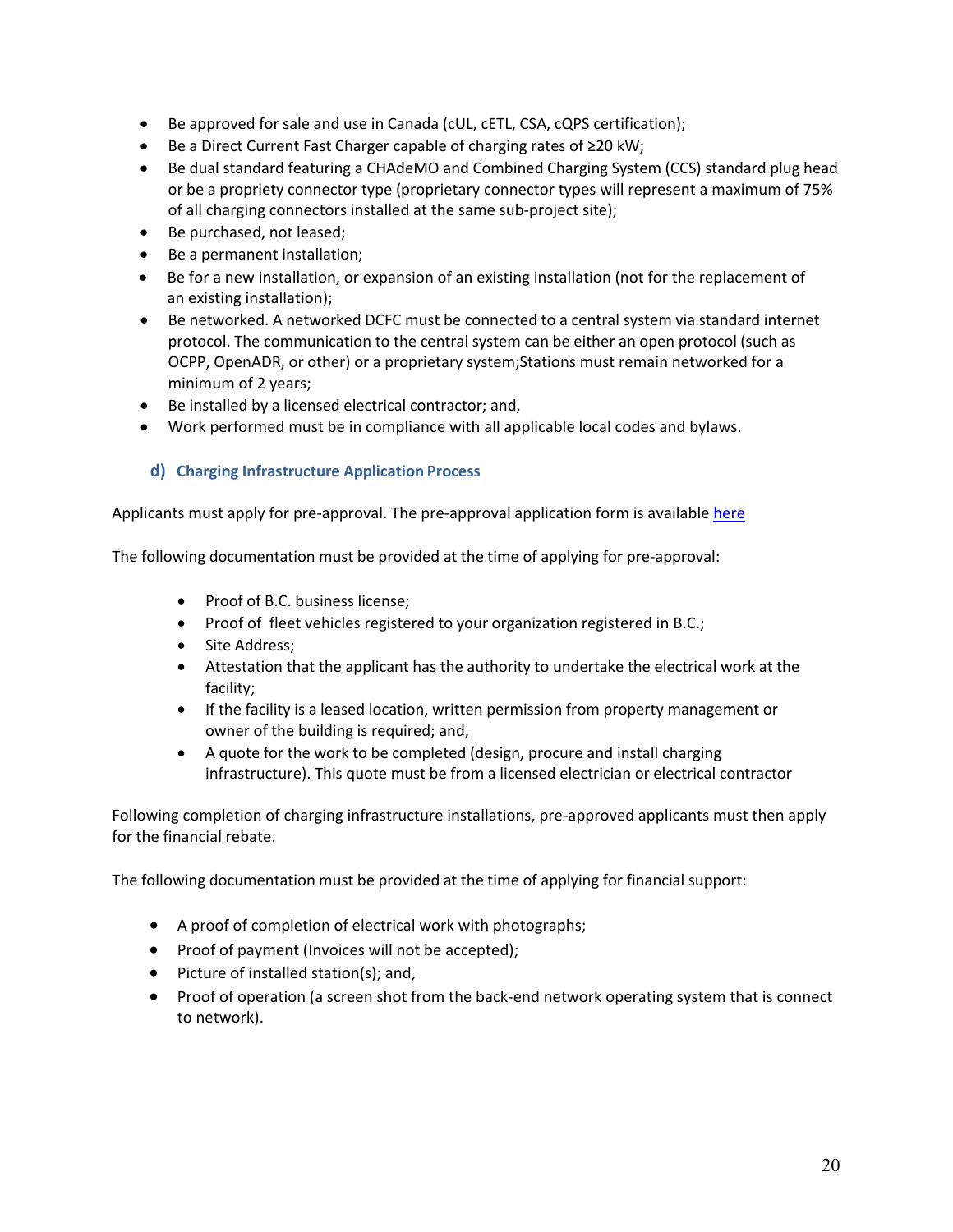- Be approved for sale and use in Canada (cUL, cETL, CSA, cQPS certification);
- Be a Direct Current Fast Charger capable of charging rates of ≥20 kW;
- Be dual standard featuring a CHAdeMO and Combined Charging System (CCS) standard plug head or be a propriety connector type (proprietary connector types will represent a maximum of 75% of all charging connectors installed at the same sub-project site);
- Be purchased, not leased;
- Be a permanent installation;
- Be for a new installation, or expansion of an existing installation (not for the replacement of an existing installation);
- Be networked. A networked DCFC must be connected to a central system via standard internet protocol. The communication to the central system can be either an open protocol (such as OCPP, OpenADR, or other) or a proprietary system;Stations must remain networked for a minimum of 2 years;
- Be installed by a licensed electrical contractor; and,
- Work performed must be in compliance with all applicable local codes and bylaws.

## <span id="page-19-0"></span>**d) Charging Infrastructure Application Process**

Applicants must apply for pre-approval. The pre-approval application form is available [here](mailto:https://pluginbc.smapply.ca/prog/goelectricfleets/)

The following documentation must be provided at the time of applying for pre-approval:

- Proof of B.C. business license;
- Proof of fleet vehicles registered to your organization registered in B.C.;
- Site Address;
- Attestation that the applicant has the authority to undertake the electrical work at the facility;
- If the facility is a leased location, written permission from property management or owner of the building is required; and,
- A quote for the work to be completed (design, procure and install charging infrastructure). This quote must be from a licensed electrician or electrical contractor

Following completion of charging infrastructure installations, pre-approved applicants must then apply for the financial rebate.

The following documentation must be provided at the time of applying for financial support:

- A proof of completion of electrical work with photographs;
- Proof of payment (Invoices will not be accepted);
- Picture of installed station(s); and,
- Proof of operation (a screen shot from the back-end network operating system that is connect to network).